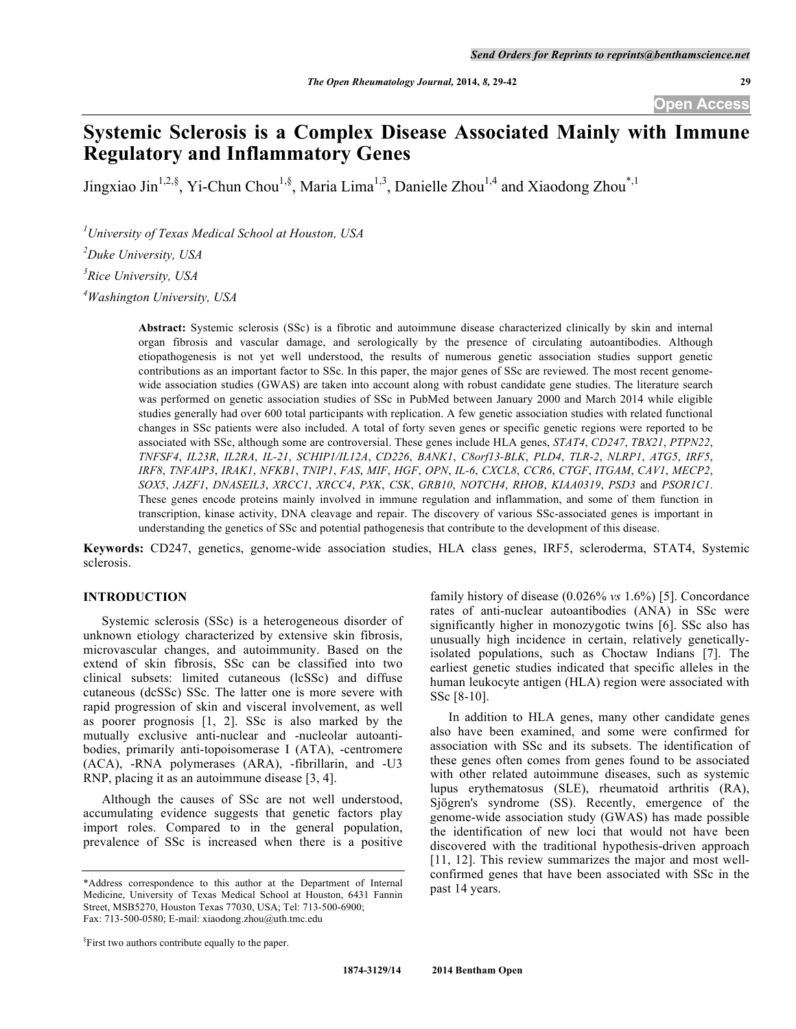# **Systemic Sclerosis is a Complex Disease Associated Mainly with Immune Regulatory and Inflammatory Genes**

Jingxiao Jin<sup>1,2,§</sup>, Yi-Chun Chou<sup>1,§</sup>, Maria Lima<sup>1,3</sup>, Danielle Zhou<sup>1,4</sup> and Xiaodong Zhou<sup>\*,1</sup>

*1 University of Texas Medical School at Houston, USA*

*2 Duke University, USA*

*3 Rice University, USA*

*4 Washington University, USA*

**Abstract:** Systemic sclerosis (SSc) is a fibrotic and autoimmune disease characterized clinically by skin and internal organ fibrosis and vascular damage, and serologically by the presence of circulating autoantibodies. Although etiopathogenesis is not yet well understood, the results of numerous genetic association studies support genetic contributions as an important factor to SSc. In this paper, the major genes of SSc are reviewed. The most recent genomewide association studies (GWAS) are taken into account along with robust candidate gene studies. The literature search was performed on genetic association studies of SSc in PubMed between January 2000 and March 2014 while eligible studies generally had over 600 total participants with replication. A few genetic association studies with related functional changes in SSc patients were also included. A total of forty seven genes or specific genetic regions were reported to be associated with SSc, although some are controversial. These genes include HLA genes, *STAT4*, *CD247*, *TBX21*, *PTPN22*, *TNFSF4*, *IL23R*, *IL2RA*, *IL-21*, *SCHIP1/IL12A*, *CD226*, *BANK1*, *C8orf13-BLK*, *PLD4*, *TLR-2*, *NLRP1*, *ATG5*, *IRF5*, *IRF8*, *TNFAIP3*, *IRAK1*, *NFKB1*, *TNIP1*, *FAS*, *MIF*, *HGF*, *OPN*, *IL-6*, *CXCL8*, *CCR6*, *CTGF*, *ITGAM*, *CAV1*, *MECP2*, *SOX5*, *JAZF1*, *DNASEIL3*, *XRCC1*, *XRCC4*, *PXK*, *CSK*, *GRB10*, *NOTCH4*, *RHOB*, *KIAA0319*, *PSD3* and *PSOR1C1*. These genes encode proteins mainly involved in immune regulation and inflammation, and some of them function in transcription, kinase activity, DNA cleavage and repair. The discovery of various SSc-associated genes is important in understanding the genetics of SSc and potential pathogenesis that contribute to the development of this disease.

**Keywords:** CD247, genetics, genome-wide association studies, HLA class genes, IRF5, scleroderma, STAT4, Systemic sclerosis.

#### **INTRODUCTION**

Systemic sclerosis (SSc) is a heterogeneous disorder of unknown etiology characterized by extensive skin fibrosis, microvascular changes, and autoimmunity. Based on the extend of skin fibrosis, SSc can be classified into two clinical subsets: limited cutaneous (lcSSc) and diffuse cutaneous (dcSSc) SSc. The latter one is more severe with rapid progression of skin and visceral involvement, as well as poorer prognosis [1, 2]. SSc is also marked by the mutually exclusive anti-nuclear and -nucleolar autoantibodies, primarily anti-topoisomerase I (ATA), -centromere (ACA), -RNA polymerases (ARA), -fibrillarin, and -U3 RNP, placing it as an autoimmune disease [3, 4].

Although the causes of SSc are not well understood, accumulating evidence suggests that genetic factors play import roles. Compared to in the general population, prevalence of SSc is increased when there is a positive

family history of disease (0.026% *vs* 1.6%) [5]. Concordance rates of anti-nuclear autoantibodies (ANA) in SSc were significantly higher in monozygotic twins [6]. SSc also has unusually high incidence in certain, relatively geneticallyisolated populations, such as Choctaw Indians [7]. The earliest genetic studies indicated that specific alleles in the human leukocyte antigen (HLA) region were associated with SSc [8-10].

In addition to HLA genes, many other candidate genes also have been examined, and some were confirmed for association with SSc and its subsets. The identification of these genes often comes from genes found to be associated with other related autoimmune diseases, such as systemic lupus erythematosus (SLE), rheumatoid arthritis (RA), Sjögren's syndrome (SS). Recently, emergence of the genome-wide association study (GWAS) has made possible the identification of new loci that would not have been discovered with the traditional hypothesis-driven approach [11, 12]. This review summarizes the major and most wellconfirmed genes that have been associated with SSc in the past 14 years.

<sup>\*</sup>Address correspondence to this author at the Department of Internal Medicine, University of Texas Medical School at Houston, 6431 Fannin Street, MSB5270, Houston Texas 77030, USA; Tel: 713-500-6900; Fax: 713-500-0580; E-mail: xiaodong.zhou@uth.tmc.edu

<sup>§</sup> First two authors contribute equally to the paper.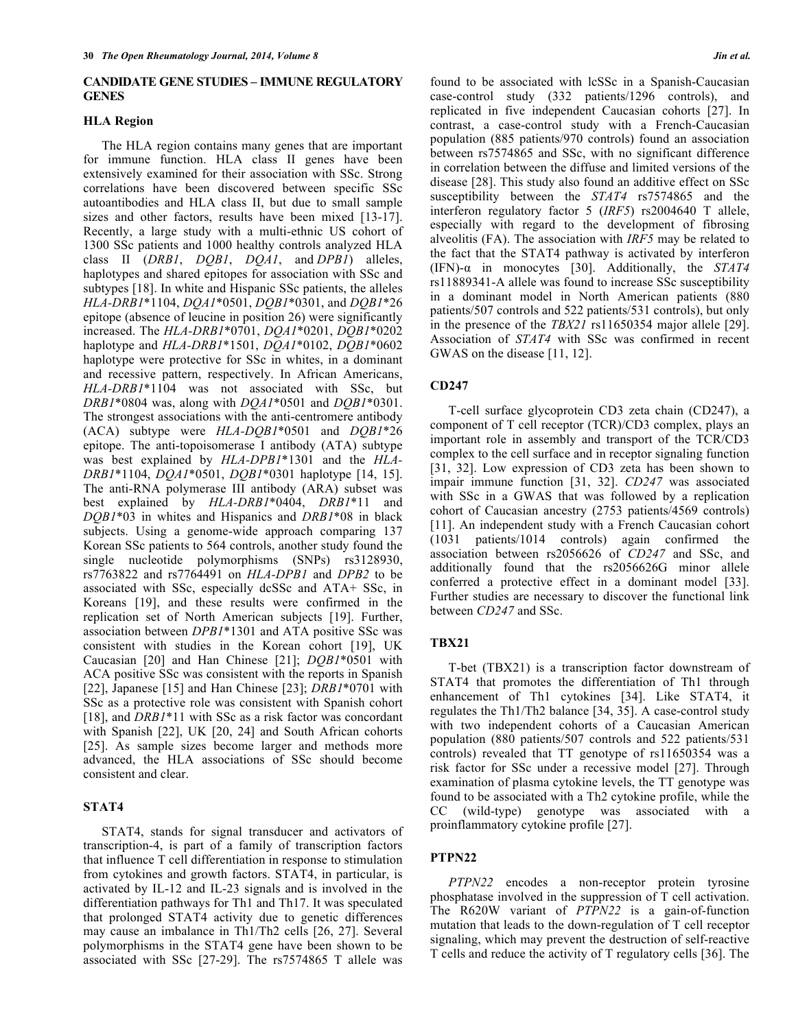# **CANDIDATE GENE STUDIES – IMMUNE REGULATORY GENES**

## **HLA Region**

The HLA region contains many genes that are important for immune function. HLA class II genes have been extensively examined for their association with SSc. Strong correlations have been discovered between specific SSc autoantibodies and HLA class II, but due to small sample sizes and other factors, results have been mixed [13-17]. Recently, a large study with a multi-ethnic US cohort of 1300 SSc patients and 1000 healthy controls analyzed HLA class II (*DRB1*, *DQB1*, *DQA1*, and *DPB1*) alleles, haplotypes and shared epitopes for association with SSc and subtypes [18]. In white and Hispanic SSc patients, the alleles *HLA-DRB1*\*1104, *DQA1*\*0501, *DQB1*\*0301, and *DQB1*\*26 epitope (absence of leucine in position 26) were significantly increased. The *HLA-DRB1*\*0701, *DQA1*\*0201, *DQB1*\*0202 haplotype and *HLA-DRB1*\*1501, *DQA1*\*0102, *DQB1*\*0602 haplotype were protective for SSc in whites, in a dominant and recessive pattern, respectively. In African Americans, *HLA-DRB1*\*1104 was not associated with SSc, but *DRB1*\*0804 was, along with *DQA1*\*0501 and *DQB1*\*0301. The strongest associations with the anti-centromere antibody (ACA) subtype were *HLA-DQB1*\*0501 and *DQB1*\*26 epitope. The anti-topoisomerase I antibody (ATA) subtype was best explained by *HLA-DPB1*\*1301 and the *HLA-DRB1*\*1104, *DQA1*\*0501, *DQB1*\*0301 haplotype [14, 15]. The anti-RNA polymerase III antibody (ARA) subset was best explained by *HLA-DRB1*\*0404, *DRB1*\*11 and *DQB1*\*03 in whites and Hispanics and *DRB1*\*08 in black subjects. Using a genome-wide approach comparing 137 Korean SSc patients to 564 controls, another study found the single nucleotide polymorphisms (SNPs) rs3128930, rs7763822 and rs7764491 on *HLA-DPB1* and *DPB2* to be associated with SSc, especially dcSSc and ATA+ SSc, in Koreans [19], and these results were confirmed in the replication set of North American subjects [19]. Further, association between *DPB1*\*1301 and ATA positive SSc was consistent with studies in the Korean cohort [19], UK Caucasian [20] and Han Chinese [21]; *DQB1*\*0501 with ACA positive SSc was consistent with the reports in Spanish [22], Japanese [15] and Han Chinese [23]; *DRB1*\*0701 with SSc as a protective role was consistent with Spanish cohort [18], and *DRB1*\*11 with SSc as a risk factor was concordant with Spanish [22], UK [20, 24] and South African cohorts [25]. As sample sizes become larger and methods more advanced, the HLA associations of SSc should become consistent and clear.

# **STAT4**

STAT4, stands for signal transducer and activators of transcription-4, is part of a family of transcription factors that influence T cell differentiation in response to stimulation from cytokines and growth factors. STAT4, in particular, is activated by IL-12 and IL-23 signals and is involved in the differentiation pathways for Th1 and Th17. It was speculated that prolonged STAT4 activity due to genetic differences may cause an imbalance in Th1/Th2 cells [26, 27]. Several polymorphisms in the STAT4 gene have been shown to be associated with SSc [27-29]. The rs7574865 T allele was

found to be associated with lcSSc in a Spanish-Caucasian case-control study (332 patients/1296 controls), and replicated in five independent Caucasian cohorts [27]. In contrast, a case-control study with a French-Caucasian population (885 patients/970 controls) found an association between rs7574865 and SSc, with no significant difference in correlation between the diffuse and limited versions of the disease [28]. This study also found an additive effect on SSc susceptibility between the *STAT4* rs7574865 and the interferon regulatory factor 5 (*IRF5*) rs2004640 T allele, especially with regard to the development of fibrosing alveolitis (FA). The association with *IRF5* may be related to the fact that the STAT4 pathway is activated by interferon (IFN)-α in monocytes [30]. Additionally, the *STAT4* rs11889341-A allele was found to increase SSc susceptibility in a dominant model in North American patients (880 patients/507 controls and 522 patients/531 controls), but only in the presence of the *TBX21* rs11650354 major allele [29]. Association of *STAT4* with SSc was confirmed in recent GWAS on the disease [11, 12].

# **CD247**

T-cell surface glycoprotein CD3 zeta chain (CD247), a component of T cell receptor (TCR)/CD3 complex, plays an important role in assembly and transport of the TCR/CD3 complex to the cell surface and in receptor signaling function [31, 32]. Low expression of CD3 zeta has been shown to impair immune function [31, 32]. *CD247* was associated with SSc in a GWAS that was followed by a replication cohort of Caucasian ancestry (2753 patients/4569 controls) [11]. An independent study with a French Caucasian cohort (1031 patients/1014 controls) again confirmed the association between rs2056626 of *CD247* and SSc, and additionally found that the rs2056626G minor allele conferred a protective effect in a dominant model [33]. Further studies are necessary to discover the functional link between *CD247* and SSc.

# **TBX21**

T-bet (TBX21) is a transcription factor downstream of STAT4 that promotes the differentiation of Th1 through enhancement of Th1 cytokines [34]. Like STAT4, it regulates the Th1/Th2 balance [34, 35]. A case-control study with two independent cohorts of a Caucasian American population (880 patients/507 controls and 522 patients/531 controls) revealed that TT genotype of rs11650354 was a risk factor for SSc under a recessive model [27]. Through examination of plasma cytokine levels, the TT genotype was found to be associated with a Th2 cytokine profile, while the CC (wild-type) genotype was associated with a proinflammatory cytokine profile [27].

#### **PTPN22**

*PTPN22* encodes a non-receptor protein tyrosine phosphatase involved in the suppression of T cell activation. The R620W variant of *PTPN22* is a gain-of-function mutation that leads to the down-regulation of T cell receptor signaling, which may prevent the destruction of self-reactive T cells and reduce the activity of T regulatory cells [36]. The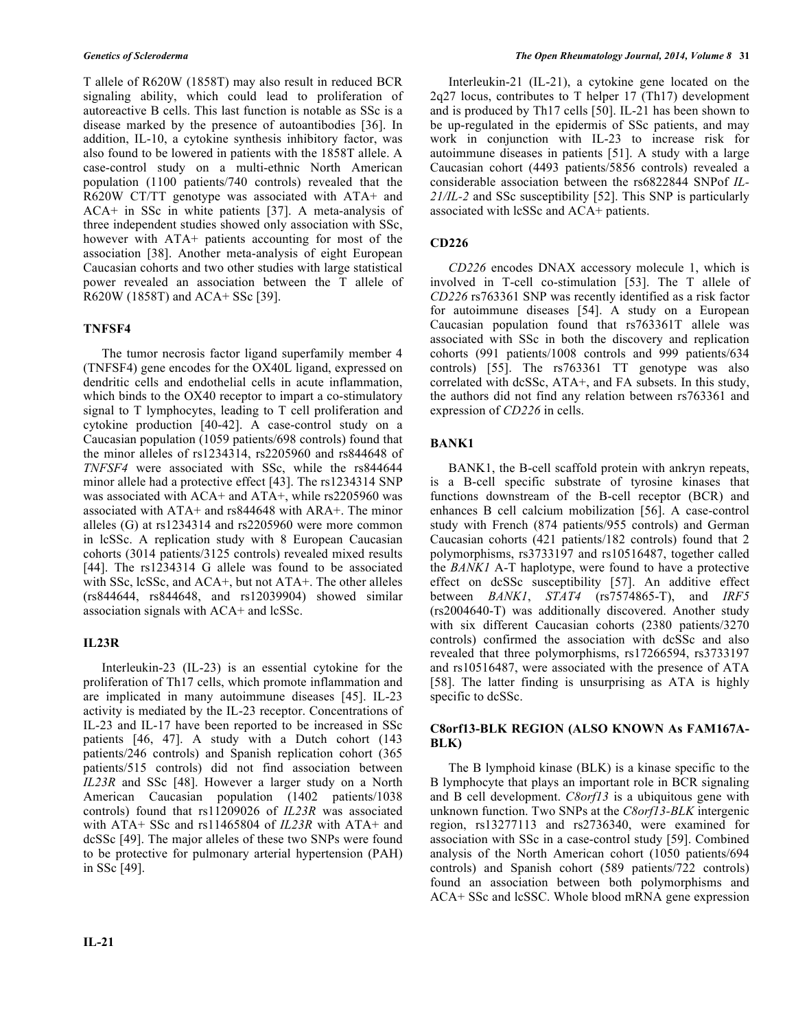T allele of R620W (1858T) may also result in reduced BCR signaling ability, which could lead to proliferation of autoreactive B cells. This last function is notable as SSc is a disease marked by the presence of autoantibodies [36]. In addition, IL-10, a cytokine synthesis inhibitory factor, was also found to be lowered in patients with the 1858T allele. A case-control study on a multi-ethnic North American population (1100 patients/740 controls) revealed that the R620W CT/TT genotype was associated with ATA+ and ACA+ in SSc in white patients [37]. A meta-analysis of three independent studies showed only association with SSc, however with ATA+ patients accounting for most of the association [38]. Another meta-analysis of eight European Caucasian cohorts and two other studies with large statistical power revealed an association between the T allele of R620W (1858T) and ACA+ SSc [39].

# **TNFSF4**

The tumor necrosis factor ligand superfamily member 4 (TNFSF4) gene encodes for the OX40L ligand, expressed on dendritic cells and endothelial cells in acute inflammation, which binds to the OX40 receptor to impart a co-stimulatory signal to T lymphocytes, leading to T cell proliferation and cytokine production [40-42]. A case-control study on a Caucasian population (1059 patients/698 controls) found that the minor alleles of rs1234314, rs2205960 and rs844648 of *TNFSF4* were associated with SSc, while the rs844644 minor allele had a protective effect [43]. The rs1234314 SNP was associated with ACA+ and ATA+, while rs2205960 was associated with ATA+ and rs844648 with ARA+. The minor alleles (G) at rs1234314 and rs2205960 were more common in lcSSc. A replication study with 8 European Caucasian cohorts (3014 patients/3125 controls) revealed mixed results [44]. The rs1234314 G allele was found to be associated with SSc, lcSSc, and ACA+, but not ATA+. The other alleles (rs844644, rs844648, and rs12039904) showed similar association signals with ACA+ and lcSSc.

# **IL23R**

Interleukin-23 (IL-23) is an essential cytokine for the proliferation of Th17 cells, which promote inflammation and are implicated in many autoimmune diseases [45]. IL-23 activity is mediated by the IL-23 receptor. Concentrations of IL-23 and IL-17 have been reported to be increased in SSc patients [46, 47]. A study with a Dutch cohort (143 patients/246 controls) and Spanish replication cohort (365 patients/515 controls) did not find association between *IL23R* and SSc [48]. However a larger study on a North American Caucasian population (1402 patients/1038 controls) found that rs11209026 of *IL23R* was associated with ATA+ SSc and rs11465804 of *IL23R* with ATA+ and dcSSc [49]. The major alleles of these two SNPs were found to be protective for pulmonary arterial hypertension (PAH) in SSc [49].

Interleukin-21 (IL-21), a cytokine gene located on the 2q27 locus, contributes to T helper 17 (Th17) development and is produced by Th17 cells [50]. IL-21 has been shown to be up-regulated in the epidermis of SSc patients, and may work in conjunction with IL-23 to increase risk for autoimmune diseases in patients [51]. A study with a large Caucasian cohort (4493 patients/5856 controls) revealed a considerable association between the rs6822844 SNPof *IL-21/IL-2* and SSc susceptibility [52]. This SNP is particularly associated with lcSSc and ACA+ patients.

# **CD226**

*CD226* encodes DNAX accessory molecule 1, which is involved in T-cell co-stimulation [53]. The T allele of *CD226* rs763361 SNP was recently identified as a risk factor for autoimmune diseases [54]. A study on a European Caucasian population found that rs763361T allele was associated with SSc in both the discovery and replication cohorts (991 patients/1008 controls and 999 patients/634 controls) [55]. The rs763361 TT genotype was also correlated with dcSSc, ATA+, and FA subsets. In this study, the authors did not find any relation between rs763361 and expression of *CD226* in cells.

# **BANK1**

BANK1, the B-cell scaffold protein with ankryn repeats, is a B-cell specific substrate of tyrosine kinases that functions downstream of the B-cell receptor (BCR) and enhances B cell calcium mobilization [56]. A case-control study with French (874 patients/955 controls) and German Caucasian cohorts (421 patients/182 controls) found that 2 polymorphisms, rs3733197 and rs10516487, together called the *BANK1* A-T haplotype, were found to have a protective effect on dcSSc susceptibility [57]. An additive effect between *BANK1*, *STAT4* (rs7574865-T), and *IRF5* (rs2004640-T) was additionally discovered. Another study with six different Caucasian cohorts (2380 patients/3270 controls) confirmed the association with dcSSc and also revealed that three polymorphisms, rs17266594, rs3733197 and rs10516487, were associated with the presence of ATA [58]. The latter finding is unsurprising as ATA is highly specific to dcSSc.

# **C8orf13-BLK REGION (ALSO KNOWN As FAM167A-BLK)**

The B lymphoid kinase (BLK) is a kinase specific to the B lymphocyte that plays an important role in BCR signaling and B cell development. *C8orf13* is a ubiquitous gene with unknown function. Two SNPs at the *C8orf13-BLK* intergenic region, rs13277113 and rs2736340, were examined for association with SSc in a case-control study [59]. Combined analysis of the North American cohort (1050 patients/694 controls) and Spanish cohort (589 patients/722 controls) found an association between both polymorphisms and ACA+ SSc and lcSSC. Whole blood mRNA gene expression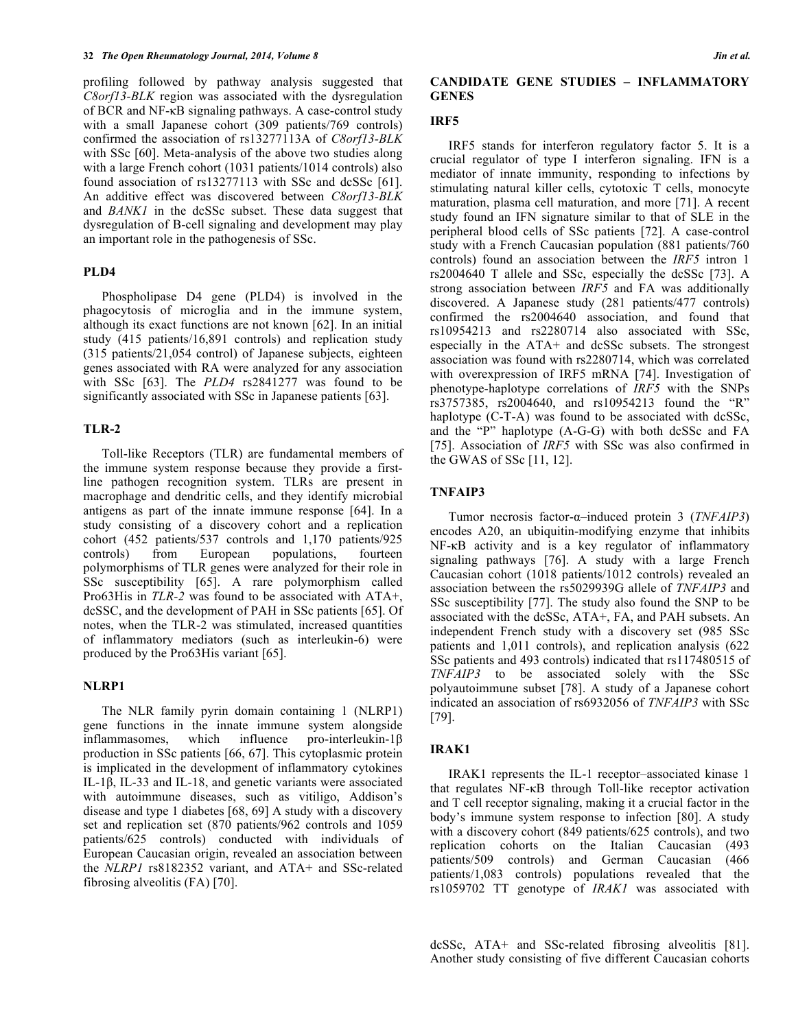profiling followed by pathway analysis suggested that *C8orf13-BLK* region was associated with the dysregulation of BCR and NF-κB signaling pathways. A case-control study with a small Japanese cohort (309 patients/769 controls) confirmed the association of rs13277113A of *C8orf13-BLK* with SSc [60]. Meta-analysis of the above two studies along with a large French cohort (1031 patients/1014 controls) also found association of rs13277113 with SSc and dcSSc [61]. An additive effect was discovered between *C8orf13-BLK* and *BANK1* in the dcSSc subset. These data suggest that dysregulation of B-cell signaling and development may play an important role in the pathogenesis of SSc.

#### **PLD4**

Phospholipase D4 gene (PLD4) is involved in the phagocytosis of microglia and in the immune system, although its exact functions are not known [62]. In an initial study (415 patients/16,891 controls) and replication study (315 patients/21,054 control) of Japanese subjects, eighteen genes associated with RA were analyzed for any association with SSc [63]. The *PLD4* rs2841277 was found to be significantly associated with SSc in Japanese patients [63].

#### **TLR-2**

Toll-like Receptors (TLR) are fundamental members of the immune system response because they provide a firstline pathogen recognition system. TLRs are present in macrophage and dendritic cells, and they identify microbial antigens as part of the innate immune response [64]. In a study consisting of a discovery cohort and a replication cohort (452 patients/537 controls and 1,170 patients/925 controls) from European populations, fourteen polymorphisms of TLR genes were analyzed for their role in SSc susceptibility [65]. A rare polymorphism called Pro63His in *TLR-2* was found to be associated with ATA+, dcSSC, and the development of PAH in SSc patients [65]. Of notes, when the TLR-2 was stimulated, increased quantities of inflammatory mediators (such as interleukin-6) were produced by the Pro63His variant [65].

## **NLRP1**

The NLR family pyrin domain containing 1 (NLRP1) gene functions in the innate immune system alongside inflammasomes, which influence pro-interleukin-1β production in SSc patients [66, 67]. This cytoplasmic protein is implicated in the development of inflammatory cytokines IL-1β, IL-33 and IL-18, and genetic variants were associated with autoimmune diseases, such as vitiligo, Addison's disease and type 1 diabetes [68, 69] A study with a discovery set and replication set (870 patients/962 controls and 1059 patients/625 controls) conducted with individuals of European Caucasian origin, revealed an association between the *NLRP1* rs8182352 variant, and ATA+ and SSc-related fibrosing alveolitis (FA) [70].

#### **CANDIDATE GENE STUDIES – INFLAMMATORY GENES**

# **IRF5**

IRF5 stands for interferon regulatory factor 5. It is a crucial regulator of type I interferon signaling. IFN is a mediator of innate immunity, responding to infections by stimulating natural killer cells, cytotoxic T cells, monocyte maturation, plasma cell maturation, and more [71]. A recent study found an IFN signature similar to that of SLE in the peripheral blood cells of SSc patients [72]. A case-control study with a French Caucasian population (881 patients/760 controls) found an association between the *IRF5* intron 1 rs2004640 T allele and SSc, especially the dcSSc [73]. A strong association between *IRF5* and FA was additionally discovered. A Japanese study (281 patients/477 controls) confirmed the rs2004640 association, and found that rs10954213 and rs2280714 also associated with SSc, especially in the ATA+ and dcSSc subsets. The strongest association was found with rs2280714, which was correlated with overexpression of IRF5 mRNA [74]. Investigation of phenotype-haplotype correlations of *IRF5* with the SNPs rs3757385, rs2004640, and rs10954213 found the "R" haplotype (C-T-A) was found to be associated with dcSSc, and the "P" haplotype (A-G-G) with both dcSSc and FA [75]. Association of *IRF5* with SSc was also confirmed in the GWAS of SSc [11, 12].

## **TNFAIP3**

Tumor necrosis factor-α–induced protein 3 (*TNFAIP3*) encodes A20, an ubiquitin-modifying enzyme that inhibits NF-κB activity and is a key regulator of inflammatory signaling pathways [76]. A study with a large French Caucasian cohort (1018 patients/1012 controls) revealed an association between the rs5029939G allele of *TNFAIP3* and SSc susceptibility [77]. The study also found the SNP to be associated with the dcSSc, ATA+, FA, and PAH subsets. An independent French study with a discovery set (985 SSc patients and 1,011 controls), and replication analysis (622 SSc patients and 493 controls) indicated that rs117480515 of *TNFAIP3* to be associated solely with the SSc polyautoimmune subset [78]. A study of a Japanese cohort indicated an association of rs6932056 of *TNFAIP3* with SSc [79].

# **IRAK1**

IRAK1 represents the IL-1 receptor–associated kinase 1 that regulates NF-κB through Toll-like receptor activation and T cell receptor signaling, making it a crucial factor in the body's immune system response to infection [80]. A study with a discovery cohort (849 patients/625 controls), and two replication cohorts on the Italian Caucasian (493 patients/509 controls) and German Caucasian (466 patients/1,083 controls) populations revealed that the rs1059702 TT genotype of *IRAK1* was associated with

dcSSc, ATA+ and SSc-related fibrosing alveolitis [81]. Another study consisting of five different Caucasian cohorts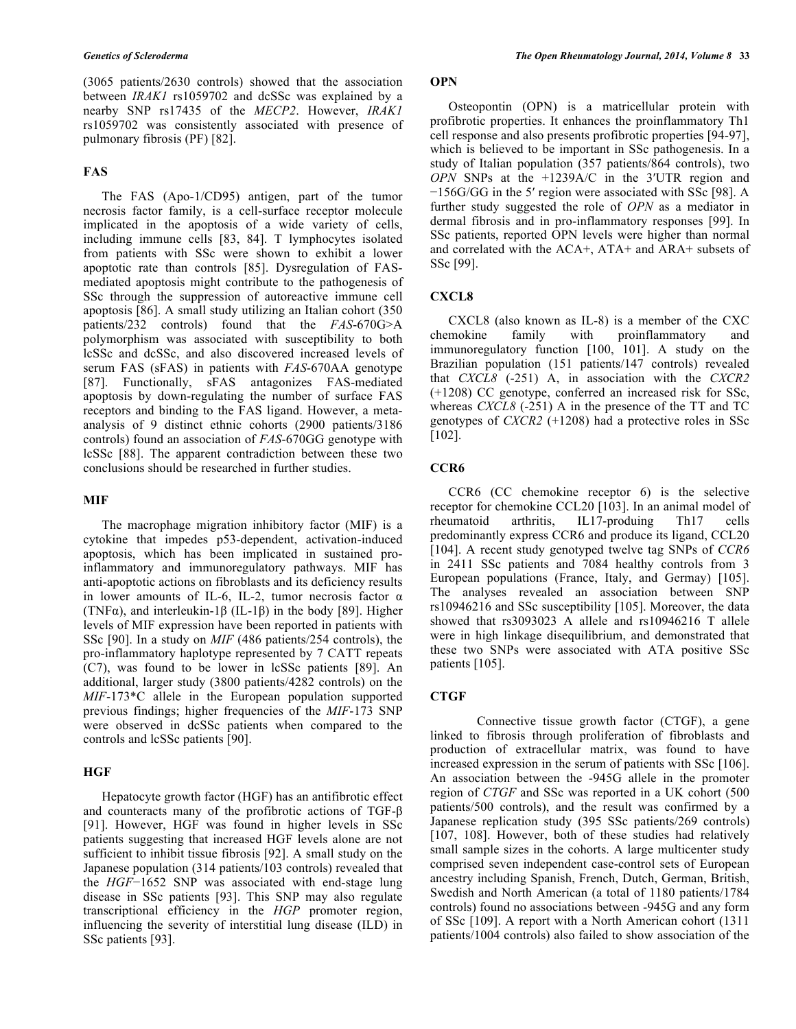(3065 patients/2630 controls) showed that the association between *IRAK1* rs1059702 and dcSSc was explained by a nearby SNP rs17435 of the *MECP2*. However, *IRAK1*  rs1059702 was consistently associated with presence of pulmonary fibrosis (PF) [82].

# **FAS**

The FAS (Apo-1/CD95) antigen, part of the tumor necrosis factor family, is a cell-surface receptor molecule implicated in the apoptosis of a wide variety of cells, including immune cells [83, 84]. T lymphocytes isolated from patients with SSc were shown to exhibit a lower apoptotic rate than controls [85]. Dysregulation of FASmediated apoptosis might contribute to the pathogenesis of SSc through the suppression of autoreactive immune cell apoptosis [86]. A small study utilizing an Italian cohort (350 patients/232 controls) found that the *FAS*-670G>A polymorphism was associated with susceptibility to both lcSSc and dcSSc, and also discovered increased levels of serum FAS (sFAS) in patients with *FAS*-670AA genotype [87]. Functionally, sFAS antagonizes FAS-mediated apoptosis by down-regulating the number of surface FAS receptors and binding to the FAS ligand. However, a metaanalysis of 9 distinct ethnic cohorts (2900 patients/3186 controls) found an association of *FAS*-670GG genotype with lcSSc [88]. The apparent contradiction between these two conclusions should be researched in further studies.

## **MIF**

The macrophage migration inhibitory factor (MIF) is a cytokine that impedes p53-dependent, activation-induced apoptosis, which has been implicated in sustained proinflammatory and immunoregulatory pathways. MIF has anti-apoptotic actions on fibroblasts and its deficiency results in lower amounts of IL-6, IL-2, tumor necrosis factor  $\alpha$ (TNFα), and interleukin-1β (IL-1β) in the body [89]. Higher levels of MIF expression have been reported in patients with SSc [90]. In a study on *MIF* (486 patients/254 controls), the pro-inflammatory haplotype represented by 7 CATT repeats (C7), was found to be lower in lcSSc patients [89]. An additional, larger study (3800 patients/4282 controls) on the *MIF*-173\*C allele in the European population supported previous findings; higher frequencies of the *MIF*-173 SNP were observed in dcSSc patients when compared to the controls and lcSSc patients [90].

#### **HGF**

Hepatocyte growth factor (HGF) has an antifibrotic effect and counteracts many of the profibrotic actions of TGF-β [91]. However, HGF was found in higher levels in SSc patients suggesting that increased HGF levels alone are not sufficient to inhibit tissue fibrosis [92]. A small study on the Japanese population (314 patients/103 controls) revealed that the *HGF*−1652 SNP was associated with end-stage lung disease in SSc patients [93]. This SNP may also regulate transcriptional efficiency in the *HGP* promoter region, influencing the severity of interstitial lung disease (ILD) in SSc patients [93].

# **OPN**

Osteopontin (OPN) is a matricellular protein with profibrotic properties. It enhances the proinflammatory Th1 cell response and also presents profibrotic properties [94-97], which is believed to be important in SSc pathogenesis. In a study of Italian population (357 patients/864 controls), two *OPN* SNPs at the +1239A/C in the 3′UTR region and −156G/GG in the 5′ region were associated with SSc [98]. A further study suggested the role of *OPN* as a mediator in dermal fibrosis and in pro-inflammatory responses [99]. In SSc patients, reported OPN levels were higher than normal and correlated with the ACA+, ATA+ and ARA+ subsets of SSc [99].

#### **CXCL8**

CXCL8 (also known as IL-8) is a member of the CXC chemokine family with proinflammatory and immunoregulatory function [100, 101]. A study on the Brazilian population (151 patients/147 controls) revealed that *CXCL8* (-251) A, in association with the *CXCR2* (+1208) CC genotype, conferred an increased risk for SSc, whereas *CXCL8* (-251) A in the presence of the TT and TC genotypes of *CXCR2* (+1208) had a protective roles in SSc [102].

### **CCR6**

CCR6 (CC chemokine receptor 6) is the selective receptor for chemokine CCL20 [103]. In an animal model of rheumatoid arthritis, IL17-produing Th17 cells predominantly express CCR6 and produce its ligand, CCL20 [104]. A recent study genotyped twelve tag SNPs of *CCR6* in 2411 SSc patients and 7084 healthy controls from 3 European populations (France, Italy, and Germay) [105]. The analyses revealed an association between SNP rs10946216 and SSc susceptibility [105]. Moreover, the data showed that rs3093023 A allele and rs10946216 T allele were in high linkage disequilibrium, and demonstrated that these two SNPs were associated with ATA positive SSc patients [105].

#### **CTGF**

Connective tissue growth factor (CTGF), a gene linked to fibrosis through proliferation of fibroblasts and production of extracellular matrix, was found to have increased expression in the serum of patients with SSc [106]. An association between the -945G allele in the promoter region of *CTGF* and SSc was reported in a UK cohort (500 patients/500 controls), and the result was confirmed by a Japanese replication study (395 SSc patients/269 controls) [107, 108]. However, both of these studies had relatively small sample sizes in the cohorts. A large multicenter study comprised seven independent case-control sets of European ancestry including Spanish, French, Dutch, German, British, Swedish and North American (a total of 1180 patients/1784 controls) found no associations between -945G and any form of SSc [109]. A report with a North American cohort (1311 patients/1004 controls) also failed to show association of the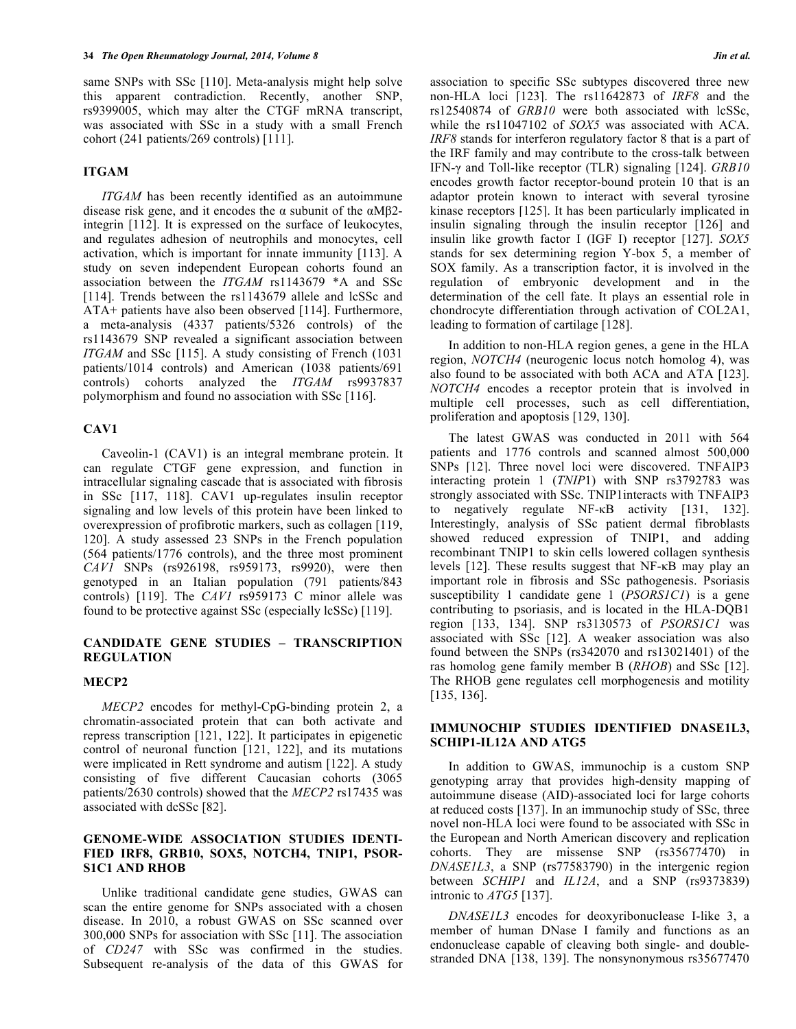same SNPs with SSc [110]. Meta-analysis might help solve this apparent contradiction. Recently, another SNP, rs9399005, which may alter the CTGF mRNA transcript, was associated with SSc in a study with a small French cohort (241 patients/269 controls) [111].

# **ITGAM**

*ITGAM* has been recently identified as an autoimmune disease risk gene, and it encodes the  $\alpha$  subunit of the  $\alpha M\beta$ 2integrin [112]. It is expressed on the surface of leukocytes, and regulates adhesion of neutrophils and monocytes, cell activation, which is important for innate immunity [113]. A study on seven independent European cohorts found an association between the *ITGAM* rs1143679 \*A and SSc [114]. Trends between the rs1143679 allele and lcSSc and ATA+ patients have also been observed [114]. Furthermore, a meta-analysis (4337 patients/5326 controls) of the rs1143679 SNP revealed a significant association between *ITGAM* and SSc [115]. A study consisting of French (1031 patients/1014 controls) and American (1038 patients/691 controls) cohorts analyzed the *ITGAM* rs9937837 polymorphism and found no association with SSc [116].

## **CAV1**

Caveolin-1 (CAV1) is an integral membrane protein. It can regulate CTGF gene expression, and function in intracellular signaling cascade that is associated with fibrosis in SSc [117, 118]. CAV1 up-regulates insulin receptor signaling and low levels of this protein have been linked to overexpression of profibrotic markers, such as collagen [119, 120]. A study assessed 23 SNPs in the French population (564 patients/1776 controls), and the three most prominent *CAV1* SNPs (rs926198, rs959173, rs9920), were then genotyped in an Italian population (791 patients/843 controls) [119]. The *CAV1* rs959173 C minor allele was found to be protective against SSc (especially lcSSc) [119].

# **CANDIDATE GENE STUDIES – TRANSCRIPTION REGULATION**

#### **MECP2**

*MECP2* encodes for methyl-CpG-binding protein 2, a chromatin-associated protein that can both activate and repress transcription [121, 122]. It participates in epigenetic control of neuronal function [121, 122], and its mutations were implicated in Rett syndrome and autism [122]. A study consisting of five different Caucasian cohorts (3065 patients/2630 controls) showed that the *MECP2* rs17435 was associated with dcSSc [82].

# **GENOME-WIDE ASSOCIATION STUDIES IDENTI-FIED IRF8, GRB10, SOX5, NOTCH4, TNIP1, PSOR-S1C1 AND RHOB**

Unlike traditional candidate gene studies, GWAS can scan the entire genome for SNPs associated with a chosen disease. In 2010, a robust GWAS on SSc scanned over 300,000 SNPs for association with SSc [11]. The association of *CD247* with SSc was confirmed in the studies. Subsequent re-analysis of the data of this GWAS for association to specific SSc subtypes discovered three new non-HLA loci [123]. The rs11642873 of *IRF8* and the rs12540874 of *GRB10* were both associated with lcSSc, while the rs11047102 of *SOX5* was associated with ACA. *IRF8* stands for interferon regulatory factor 8 that is a part of the IRF family and may contribute to the cross-talk between IFN-γ and Toll-like receptor (TLR) signaling [124]. *GRB10* encodes growth factor receptor-bound protein 10 that is an adaptor protein known to interact with several tyrosine kinase receptors [125]. It has been particularly implicated in insulin signaling through the insulin receptor [126] and insulin like growth factor I (IGF I) receptor [127]. *SOX5* stands for sex determining region Y-box 5, a member of SOX family. As a transcription factor, it is involved in the regulation of embryonic development and in the determination of the cell fate. It plays an essential role in chondrocyte differentiation through activation of COL2A1, leading to formation of cartilage [128].

In addition to non-HLA region genes, a gene in the HLA region, *NOTCH4* (neurogenic locus notch homolog 4), was also found to be associated with both ACA and ATA [123]. *NOTCH4* encodes a receptor protein that is involved in multiple cell processes, such as cell differentiation, proliferation and apoptosis [129, 130].

The latest GWAS was conducted in 2011 with 564 patients and 1776 controls and scanned almost 500,000 SNPs [12]. Three novel loci were discovered. TNFAIP3 interacting protein 1 (*TNIP*1) with SNP rs3792783 was strongly associated with SSc. TNIP1interacts with TNFAIP3 to negatively regulate NF-κB activity [131, 132]. Interestingly, analysis of SSc patient dermal fibroblasts showed reduced expression of TNIP1, and adding recombinant TNIP1 to skin cells lowered collagen synthesis levels [12]. These results suggest that NF-κB may play an important role in fibrosis and SSc pathogenesis. Psoriasis susceptibility 1 candidate gene 1 (*PSORS1C1*) is a gene contributing to psoriasis, and is located in the HLA-DQB1 region [133, 134]. SNP rs3130573 of *PSORS1C1* was associated with SSc [12]. A weaker association was also found between the SNPs (rs342070 and rs13021401) of the ras homolog gene family member B (*RHOB*) and SSc [12]. The RHOB gene regulates cell morphogenesis and motility [135, 136].

# **IMMUNOCHIP STUDIES IDENTIFIED DNASE1L3, SCHIP1-IL12A AND ATG5**

In addition to GWAS, immunochip is a custom SNP genotyping array that provides high-density mapping of autoimmune disease (AID)-associated loci for large cohorts at reduced costs [137]. In an immunochip study of SSc, three novel non-HLA loci were found to be associated with SSc in the European and North American discovery and replication cohorts. They are missense SNP (rs35677470) in *DNASE1L3*, a SNP (rs77583790) in the intergenic region between *SCHIP1* and *IL12A*, and a SNP (rs9373839) intronic to *ATG5* [137].

*DNASE1L3* encodes for deoxyribonuclease I-like 3, a member of human DNase I family and functions as an endonuclease capable of cleaving both single- and doublestranded DNA [138, 139]. The nonsynonymous rs35677470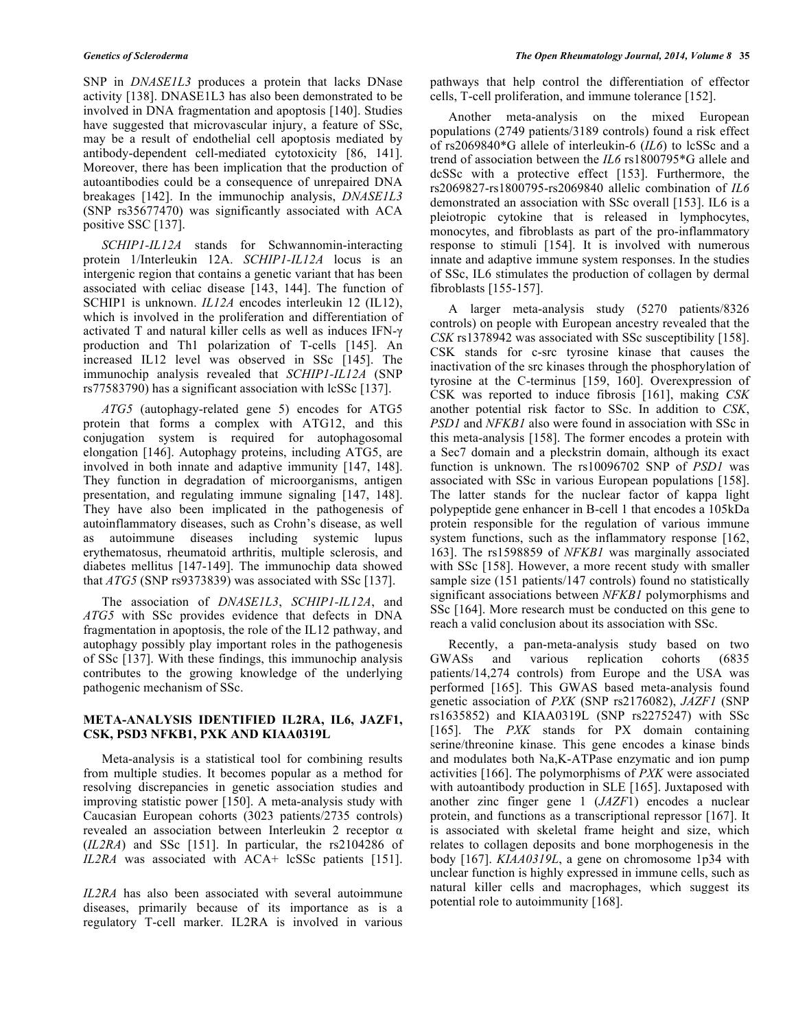SNP in *DNASE1L3* produces a protein that lacks DNase activity [138]. DNASE1L3 has also been demonstrated to be involved in DNA fragmentation and apoptosis [140]. Studies have suggested that microvascular injury, a feature of SSc, may be a result of endothelial cell apoptosis mediated by antibody-dependent cell-mediated cytotoxicity [86, 141]. Moreover, there has been implication that the production of autoantibodies could be a consequence of unrepaired DNA breakages [142]. In the immunochip analysis, *DNASE1L3* (SNP rs35677470) was significantly associated with ACA positive SSC [137].

*SCHIP1-IL12A* stands for Schwannomin-interacting protein 1/Interleukin 12A. *SCHIP1-IL12A* locus is an intergenic region that contains a genetic variant that has been associated with celiac disease [143, 144]. The function of SCHIP1 is unknown. *IL12A* encodes interleukin 12 (IL12), which is involved in the proliferation and differentiation of activated T and natural killer cells as well as induces IFN-γ production and Th1 polarization of T-cells [145]. An increased IL12 level was observed in SSc [145]. The immunochip analysis revealed that *SCHIP1-IL12A* (SNP rs77583790) has a significant association with lcSSc [137].

*ATG5* (autophagy-related gene 5) encodes for ATG5 protein that forms a complex with ATG12, and this conjugation system is required for autophagosomal elongation [146]. Autophagy proteins, including ATG5, are involved in both innate and adaptive immunity [147, 148]. They function in degradation of microorganisms, antigen presentation, and regulating immune signaling [147, 148]. They have also been implicated in the pathogenesis of autoinflammatory diseases, such as Crohn's disease, as well as autoimmune diseases including systemic lupus erythematosus, rheumatoid arthritis, multiple sclerosis, and diabetes mellitus [147-149]. The immunochip data showed that *ATG5* (SNP rs9373839) was associated with SSc [137].

The association of *DNASE1L3*, *SCHIP1-IL12A*, and *ATG5* with SSc provides evidence that defects in DNA fragmentation in apoptosis, the role of the IL12 pathway, and autophagy possibly play important roles in the pathogenesis of SSc [137]. With these findings, this immunochip analysis contributes to the growing knowledge of the underlying pathogenic mechanism of SSc.

# **META-ANALYSIS IDENTIFIED IL2RA, IL6, JAZF1, CSK, PSD3 NFKB1, PXK AND KIAA0319L**

Meta-analysis is a statistical tool for combining results from multiple studies. It becomes popular as a method for resolving discrepancies in genetic association studies and improving statistic power [150]. A meta-analysis study with Caucasian European cohorts (3023 patients/2735 controls) revealed an association between Interleukin 2 receptor α (*IL2RA*) and SSc [151]. In particular, the rs2104286 of *IL2RA* was associated with ACA+ lcSSc patients [151].

*IL2RA* has also been associated with several autoimmune diseases, primarily because of its importance as is a regulatory T-cell marker. IL2RA is involved in various pathways that help control the differentiation of effector cells, T-cell proliferation, and immune tolerance [152].

Another meta-analysis on the mixed European populations (2749 patients/3189 controls) found a risk effect of rs2069840\*G allele of interleukin-6 (*IL6*) to lcSSc and a trend of association between the *IL6* rs1800795\*G allele and dcSSc with a protective effect [153]. Furthermore, the rs2069827-rs1800795-rs2069840 allelic combination of *IL6* demonstrated an association with SSc overall [153]. IL6 is a pleiotropic cytokine that is released in lymphocytes, monocytes, and fibroblasts as part of the pro-inflammatory response to stimuli [154]. It is involved with numerous innate and adaptive immune system responses. In the studies of SSc, IL6 stimulates the production of collagen by dermal fibroblasts [155-157].

A larger meta-analysis study (5270 patients/8326 controls) on people with European ancestry revealed that the *CSK* rs1378942 was associated with SSc susceptibility [158]. CSK stands for c-src tyrosine kinase that causes the inactivation of the src kinases through the phosphorylation of tyrosine at the C-terminus [159, 160]. Overexpression of CSK was reported to induce fibrosis [161], making *CSK* another potential risk factor to SSc. In addition to *CSK*, *PSD1* and *NFKB1* also were found in association with SSc in this meta-analysis [158]. The former encodes a protein with a Sec7 domain and a pleckstrin domain, although its exact function is unknown. The rs10096702 SNP of *PSD1* was associated with SSc in various European populations [158]. The latter stands for the nuclear factor of kappa light polypeptide gene enhancer in B-cell 1 that encodes a 105kDa protein responsible for the regulation of various immune system functions, such as the inflammatory response [162, 163]. The rs1598859 of *NFKB1* was marginally associated with SSc [158]. However, a more recent study with smaller sample size (151 patients/147 controls) found no statistically significant associations between *NFKB1* polymorphisms and SSc [164]. More research must be conducted on this gene to reach a valid conclusion about its association with SSc.

Recently, a pan-meta-analysis study based on two GWASs and various replication cohorts (6835 patients/14,274 controls) from Europe and the USA was performed [165]. This GWAS based meta-analysis found genetic association of *PXK* (SNP rs2176082), *JAZF1* (SNP rs1635852) and KIAA0319L (SNP rs2275247) with SSc [165]. The *PXK* stands for PX domain containing serine/threonine kinase. This gene encodes a kinase binds and modulates both Na,K-ATPase enzymatic and ion pump activities [166]. The polymorphisms of *PXK* were associated with autoantibody production in SLE [165]. Juxtaposed with another zinc finger gene 1 (*JAZF*1) encodes a nuclear protein, and functions as a transcriptional repressor [167]. It is associated with skeletal frame height and size, which relates to collagen deposits and bone morphogenesis in the body [167]. *KIAA0319L*, a gene on chromosome 1p34 with unclear function is highly expressed in immune cells, such as natural killer cells and macrophages, which suggest its potential role to autoimmunity [168].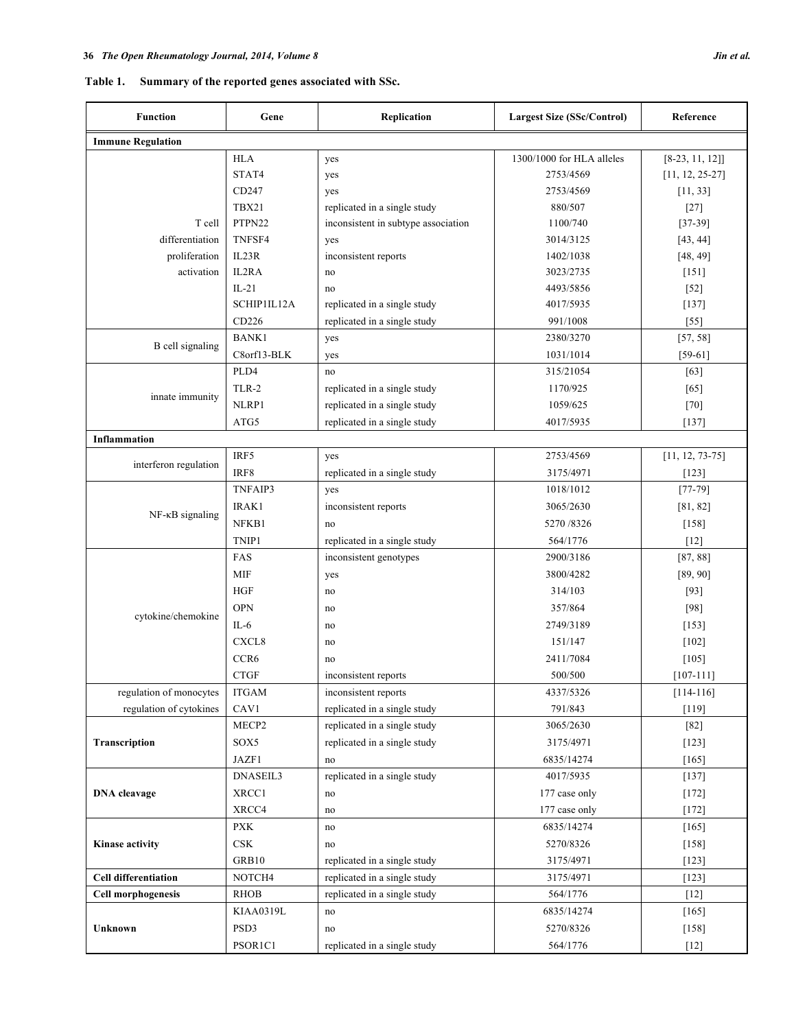| Gene              | Replication                         | <b>Largest Size (SSc/Control)</b> | Reference         |
|-------------------|-------------------------------------|-----------------------------------|-------------------|
|                   |                                     |                                   |                   |
| <b>HLA</b>        | yes                                 | 1300/1000 for HLA alleles         | $[8-23, 11, 12]]$ |
| STAT4             | yes                                 | 2753/4569                         | $[11, 12, 25-27]$ |
| CD247             | yes                                 | 2753/4569                         | [11, 33]          |
| TBX21             | replicated in a single study        | 880/507                           | $[27]$            |
| PTPN22            | inconsistent in subtype association | 1100/740                          | $[37-39]$         |
| TNFSF4            | yes                                 | 3014/3125                         | [43, 44]          |
| IL23R             | inconsistent reports                | 1402/1038                         | [48, 49]          |
| IL2RA             | no                                  | 3023/2735                         | $[151]$           |
| $IL-21$           | no                                  | 4493/5856                         | $[52]$            |
| SCHIP1IL12A       | replicated in a single study        | 4017/5935                         | [137]             |
| CD226             | replicated in a single study        | 991/1008                          | $[55]$            |
| <b>BANK1</b>      | yes                                 | 2380/3270                         | [57, 58]          |
| C8orf13-BLK       | yes                                 | 1031/1014                         | $[59-61]$         |
| PLD4              | no                                  | 315/21054                         | [63]              |
| TLR-2             | replicated in a single study        | 1170/925                          | $[65]$            |
| NLRP1             | replicated in a single study        | 1059/625                          | $[70]$            |
| ATG5              | replicated in a single study        | 4017/5935                         | [137]             |
|                   |                                     |                                   |                   |
| IRF5              | yes                                 | 2753/4569                         | $[11, 12, 73-75]$ |
| IRF8              | replicated in a single study        | 3175/4971                         | $[123]$           |
| TNFAIP3           | yes                                 | 1018/1012                         | $[77-79]$         |
| IRAK1             | inconsistent reports                | 3065/2630                         | [81, 82]          |
| NFKB1             | no                                  | 5270/8326                         | $[158]$           |
| TNIP1             | replicated in a single study        | 564/1776                          | $[12]$            |
| FAS               | inconsistent genotypes              | 2900/3186                         | [87, 88]          |
| <b>MIF</b>        | yes                                 | 3800/4282                         | [89, 90]          |
| <b>HGF</b>        | no                                  | 314/103                           | $[93]$            |
| <b>OPN</b>        | no                                  | 357/864                           | $[98]$            |
| $IL-6$            | no                                  | 2749/3189                         | [153]             |
| CXCL <sub>8</sub> | no                                  | 151/147                           | $[102]$           |
| CCR6              | no                                  | 2411/7084                         | $[105]$           |
| <b>CTGF</b>       | inconsistent reports                | 500/500                           | $[107 - 111]$     |
| <b>ITGAM</b>      | inconsistent reports                | 4337/5326                         | $[114 - 116]$     |
| CAV1              | replicated in a single study        | 791/843                           | [119]             |
| MECP2             | replicated in a single study        | 3065/2630                         | $[82]$            |
| SOX5              | replicated in a single study        | 3175/4971                         | $[123]$           |
| JAZF1             | no                                  | 6835/14274                        | $[165]$           |
| DNASEIL3          | replicated in a single study        | 4017/5935                         | $[137]$           |
| XRCC1             | no                                  | 177 case only                     | $[172]$           |
| XRCC4             | no                                  | 177 case only                     | $[172]$           |
| <b>PXK</b>        | $\rm{no}$                           | 6835/14274                        | [165]             |
| CSK               | no                                  | 5270/8326                         | $[158]$           |
| GRB10             |                                     | 3175/4971                         | $[123]$           |
| NOTCH4            | replicated in a single study        | 3175/4971                         | $[123]$           |
| <b>RHOB</b>       | replicated in a single study        | 564/1776                          | $[12]$            |
| KIAA0319L         | no                                  | 6835/14274                        | $[165]$           |
| PSD3              | no                                  | 5270/8326                         | $[158]$           |
| PSOR1C1           | replicated in a single study        | 564/1776                          | $[12]$            |
|                   |                                     | replicated in a single study      |                   |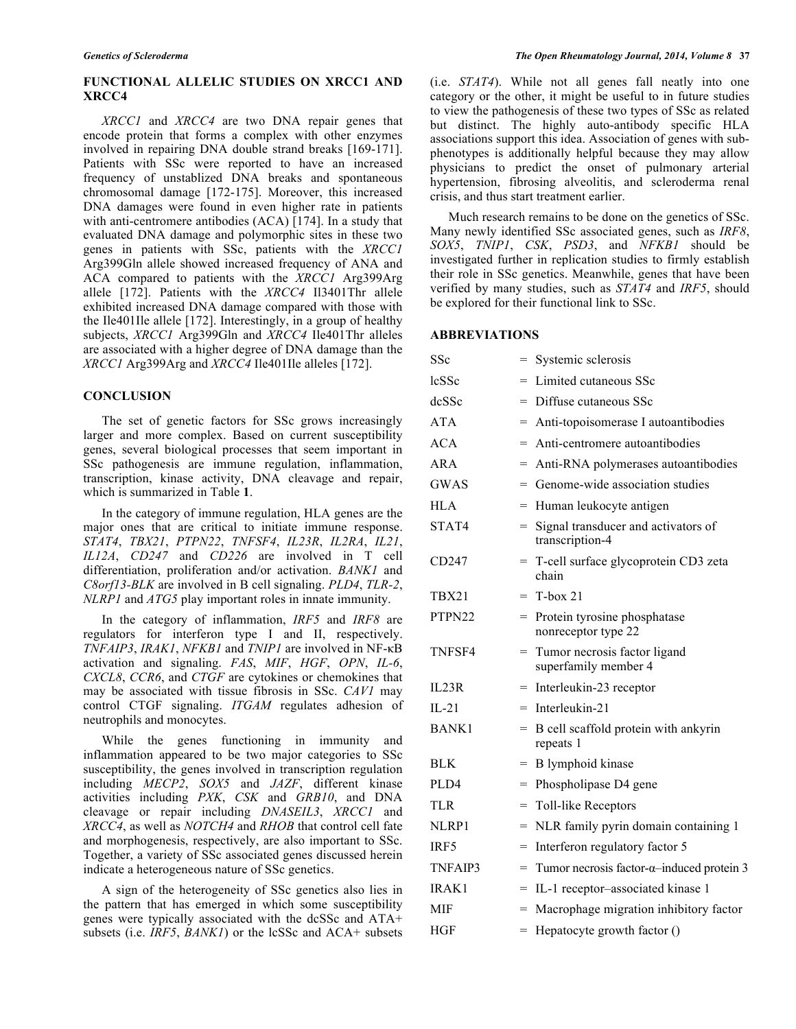# **FUNCTIONAL ALLELIC STUDIES ON XRCC1 AND XRCC4**

*XRCC1* and *XRCC4* are two DNA repair genes that encode protein that forms a complex with other enzymes involved in repairing DNA double strand breaks [169-171]. Patients with SSc were reported to have an increased frequency of unstablized DNA breaks and spontaneous chromosomal damage [172-175]. Moreover, this increased DNA damages were found in even higher rate in patients with anti-centromere antibodies (ACA) [174]. In a study that evaluated DNA damage and polymorphic sites in these two genes in patients with SSc, patients with the *XRCC1* Arg399Gln allele showed increased frequency of ANA and ACA compared to patients with the *XRCC1* Arg399Arg allele [172]. Patients with the *XRCC4* Il3401Thr allele exhibited increased DNA damage compared with those with the Ile401Ile allele [172]. Interestingly, in a group of healthy subjects, *XRCC1* Arg399Gln and *XRCC4* Ile401Thr alleles are associated with a higher degree of DNA damage than the *XRCC1* Arg399Arg and *XRCC4* Ile401Ile alleles [172].

#### **CONCLUSION**

The set of genetic factors for SSc grows increasingly larger and more complex. Based on current susceptibility genes, several biological processes that seem important in SSc pathogenesis are immune regulation, inflammation, transcription, kinase activity, DNA cleavage and repair, which is summarized in Table **1**.

In the category of immune regulation, HLA genes are the major ones that are critical to initiate immune response. *STAT4*, *TBX21*, *PTPN22*, *TNFSF4*, *IL23R*, *IL2RA*, *IL21*, *IL12A*, *CD247* and *CD226* are involved in T cell differentiation, proliferation and/or activation. *BANK1* and *C8orf13-BLK* are involved in B cell signaling. *PLD4*, *TLR-2*, *NLRP1* and *ATG5* play important roles in innate immunity.

In the category of inflammation, *IRF5* and *IRF8* are regulators for interferon type I and II, respectively. *TNFAIP3*, *IRAK1*, *NFKB1* and *TNIP1* are involved in NF-κB activation and signaling. *FAS*, *MIF*, *HGF*, *OPN*, *IL-6*, *CXCL8*, *CCR6*, and *CTGF* are cytokines or chemokines that may be associated with tissue fibrosis in SSc. *CAV1* may control CTGF signaling. *ITGAM* regulates adhesion of neutrophils and monocytes.

While the genes functioning in immunity and inflammation appeared to be two major categories to SSc susceptibility, the genes involved in transcription regulation including *MECP2*, *SOX5* and *JAZF*, different kinase activities including *PXK*, *CSK* and *GRB10*, and DNA cleavage or repair including *DNASEIL3*, *XRCC1* and *XRCC4*, as well as *NOTCH4* and *RHOB* that control cell fate and morphogenesis, respectively, are also important to SSc. Together, a variety of SSc associated genes discussed herein indicate a heterogeneous nature of SSc genetics.

A sign of the heterogeneity of SSc genetics also lies in the pattern that has emerged in which some susceptibility genes were typically associated with the dcSSc and ATA+ subsets (i.e. *IRF5*, *BANK1*) or the lcSSc and ACA+ subsets

(i.e. *STAT4*). While not all genes fall neatly into one category or the other, it might be useful to in future studies to view the pathogenesis of these two types of SSc as related but distinct. The highly auto-antibody specific HLA associations support this idea. Association of genes with subphenotypes is additionally helpful because they may allow physicians to predict the onset of pulmonary arterial hypertension, fibrosing alveolitis, and scleroderma renal crisis, and thus start treatment earlier.

Much research remains to be done on the genetics of SSc. Many newly identified SSc associated genes, such as *IRF8*, *SOX5*, *TNIP1*, *CSK*, *PSD3*, and *NFKB1* should be investigated further in replication studies to firmly establish their role in SSc genetics. Meanwhile, genes that have been verified by many studies, such as *STAT4* and *IRF5*, should be explored for their functional link to SSc.

#### **ABBREVIATIONS**

| $_{\rm SSC}$ |     | = Systemic sclerosis                                    |
|--------------|-----|---------------------------------------------------------|
| lcSSc        | $=$ | Limited cutaneous SSc                                   |
| dcSSc        | $=$ | Diffuse cutaneous SSc                                   |
| ATA          | $=$ | Anti-topoisomerase I autoantibodies                     |
| <b>ACA</b>   | $=$ | Anti-centromere autoantibodies                          |
| ARA          | $=$ | Anti-RNA polymerases autoantibodies                     |
| <b>GWAS</b>  | $=$ | Genome-wide association studies                         |
| <b>HLA</b>   | =   | Human leukocyte antigen                                 |
| STAT4        | $=$ | Signal transducer and activators of<br>transcription-4  |
| CD247        |     | = T-cell surface glycoprotein CD3 zeta<br>chain         |
| TBX21        | $=$ | $T-box 21$                                              |
| PTPN22       |     | $=$ Protein tyrosine phosphatase<br>nonreceptor type 22 |
| TNFSF4       | $=$ | Tumor necrosis factor ligand<br>superfamily member 4    |
| IL23R        | $=$ | Interleukin-23 receptor                                 |
| $IL-21$      | $=$ | Interleukin-21                                          |
| <b>BANK1</b> | $=$ | B cell scaffold protein with ankyrin<br>repeats 1       |
| BLK          | =   | B lymphoid kinase                                       |
| PLD4         | $=$ | Phospholipase D4 gene                                   |
| TLR          | $=$ | Toll-like Receptors                                     |
| NLRP1        | $=$ | NLR family pyrin domain containing 1                    |
| IRF5         | $=$ | Interferon regulatory factor 5                          |
| TNFAIP3      | $=$ | Tumor necrosis factor- $\alpha$ -induced protein 3      |
| IRAK1        | $=$ | IL-1 receptor-associated kinase 1                       |
| MIF          | $=$ | Macrophage migration inhibitory factor                  |
| HGF          | $=$ | Hepatocyte growth factor ()                             |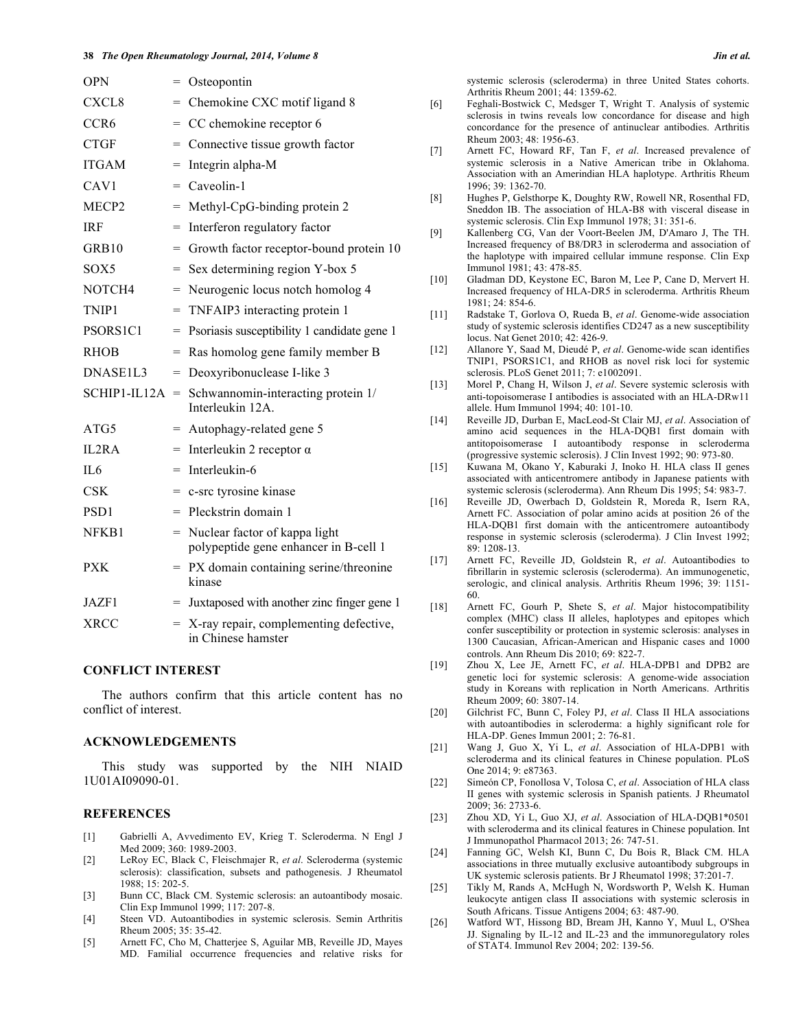| <b>OPN</b>        | $=$ | Osteopontin                                                              |
|-------------------|-----|--------------------------------------------------------------------------|
| CXCL <sub>8</sub> | $=$ | Chemokine CXC motif ligand 8                                             |
| CCR <sub>6</sub>  | $=$ | CC chemokine receptor 6                                                  |
| <b>CTGF</b>       | $=$ | Connective tissue growth factor                                          |
| <b>ITGAM</b>      | $=$ | Integrin alpha-M                                                         |
| CAV <sub>1</sub>  |     | $=$ Caveolin-1                                                           |
| MECP <sub>2</sub> | $=$ | Methyl-CpG-binding protein 2                                             |
| <b>IRF</b>        | $=$ | Interferon regulatory factor                                             |
| GRB <sub>10</sub> | $=$ | Growth factor receptor-bound protein 10                                  |
| SOX5              | $=$ | Sex determining region Y-box 5                                           |
| NOTCH4            | $=$ | Neurogenic locus notch homolog 4                                         |
| TNIP1             | $=$ | TNFAIP3 interacting protein 1                                            |
| PSORS1C1          | $=$ | Psoriasis susceptibility 1 candidate gene 1                              |
| <b>RHOB</b>       | $=$ | Ras homolog gene family member B                                         |
| DNASE1L3          | $=$ | Deoxyribonuclease I-like 3                                               |
| $SCHIP1-II.12A =$ |     | Schwannomin-interacting protein 1/<br>Interleukin 12A.                   |
| ATG5              | $=$ | Autophagy-related gene 5                                                 |
| IL2RA             | $=$ | Interleukin 2 receptor $\alpha$                                          |
| IL6               | $=$ | Interleukin-6                                                            |
| <b>CSK</b>        | $=$ | c-src tyrosine kinase                                                    |
| PSD <sub>1</sub>  | $=$ | Pleckstrin domain 1                                                      |
| NFKB1             |     | = Nuclear factor of kappa light<br>polypeptide gene enhancer in B-cell 1 |
| <b>PXK</b>        | $=$ | PX domain containing serine/threonine<br>kinase                          |
| JAZF1             |     | Juxtaposed with another zinc finger gene 1                               |
| <b>XRCC</b>       |     | $=$ X-ray repair, complementing defective,<br>in Chinese hamster         |

#### **CONFLICT INTEREST**

The authors confirm that this article content has no conflict of interest.

#### **ACKNOWLEDGEMENTS**

This study was supported by the NIH NIAID 1U01AI09090-01.

## **REFERENCES**

- [1] Gabrielli A, Avvedimento EV, Krieg T. Scleroderma. N Engl J Med 2009; 360: 1989-2003.
- [2] LeRoy EC, Black C, Fleischmajer R, *et al*. Scleroderma (systemic sclerosis): classification, subsets and pathogenesis. J Rheumatol  $1988: 15: 202-5$
- [3] Bunn CC, Black CM. Systemic sclerosis: an autoantibody mosaic. Clin Exp Immunol 1999; 117: 207-8.
- [4] Steen VD. Autoantibodies in systemic sclerosis. Semin Arthritis Rheum 2005; 35: 35-42.
- [5] Arnett FC, Cho M, Chatterjee S, Aguilar MB, Reveille JD, Mayes MD. Familial occurrence frequencies and relative risks for

systemic sclerosis (scleroderma) in three United States cohorts. Arthritis Rheum 2001; 44: 1359-62.

- [6] Feghali-Bostwick C, Medsger T, Wright T. Analysis of systemic sclerosis in twins reveals low concordance for disease and high concordance for the presence of antinuclear antibodies. Arthritis Rheum 2003; 48: 1956-63.
- [7] Arnett FC, Howard RF, Tan F, *et al*. Increased prevalence of systemic sclerosis in a Native American tribe in Oklahoma. Association with an Amerindian HLA haplotype. Arthritis Rheum 1996; 39: 1362-70.
- [8] Hughes P, Gelsthorpe K, Doughty RW, Rowell NR, Rosenthal FD, Sneddon IB. The association of HLA-B8 with visceral disease in systemic sclerosis. Clin Exp Immunol 1978; 31: 351-6.
- [9] Kallenberg CG, Van der Voort-Beelen JM, D'Amaro J, The TH. Increased frequency of B8/DR3 in scleroderma and association of the haplotype with impaired cellular immune response. Clin Exp Immunol 1981; 43: 478-85.
- [10] Gladman DD, Keystone EC, Baron M, Lee P, Cane D, Mervert H. Increased frequency of HLA-DR5 in scleroderma. Arthritis Rheum 1981; 24: 854-6.
- [11] Radstake T, Gorlova O, Rueda B, *et al*. Genome-wide association study of systemic sclerosis identifies CD247 as a new susceptibility locus. Nat Genet 2010; 42: 426-9.
- [12] Allanore Y, Saad M, Dieudé P, *et al*. Genome-wide scan identifies TNIP1, PSORS1C1, and RHOB as novel risk loci for systemic sclerosis. PLoS Genet 2011; 7: e1002091.
- [13] Morel P, Chang H, Wilson J, *et al*. Severe systemic sclerosis with anti-topoisomerase I antibodies is associated with an HLA-DRw11 allele. Hum Immunol 1994; 40: 101-10.
- [14] Reveille JD, Durban E, MacLeod-St Clair MJ, *et al*. Association of amino acid sequences in the HLA-DQB1 first domain with antitopoisomerase I autoantibody response in scleroderma (progressive systemic sclerosis). J Clin Invest 1992; 90: 973-80.
- [15] Kuwana M, Okano Y, Kaburaki J, Inoko H. HLA class II genes associated with anticentromere antibody in Japanese patients with systemic sclerosis (scleroderma). Ann Rheum Dis 1995; 54: 983-7.
- [16] Reveille JD, Owerbach D, Goldstein R, Moreda R, Isern RA, Arnett FC. Association of polar amino acids at position 26 of the HLA-DQB1 first domain with the anticentromere autoantibody response in systemic sclerosis (scleroderma). J Clin Invest 1992; 89: 1208-13.
- [17] Arnett FC, Reveille JD, Goldstein R, *et al*. Autoantibodies to fibrillarin in systemic sclerosis (scleroderma). An immunogenetic, serologic, and clinical analysis. Arthritis Rheum 1996; 39: 1151- 60.
- [18] Arnett FC, Gourh P, Shete S, *et al*. Major histocompatibility complex (MHC) class II alleles, haplotypes and epitopes which confer susceptibility or protection in systemic sclerosis: analyses in 1300 Caucasian, African-American and Hispanic cases and 1000 controls. Ann Rheum Dis 2010; 69: 822-7.
- [19] Zhou X, Lee JE, Arnett FC, *et al*. HLA-DPB1 and DPB2 are genetic loci for systemic sclerosis: A genome-wide association study in Koreans with replication in North Americans. Arthritis Rheum 2009; 60: 3807-14.
- [20] Gilchrist FC, Bunn C, Foley PJ, *et al*. Class II HLA associations with autoantibodies in scleroderma: a highly significant role for HLA-DP. Genes Immun 2001; 2: 76-81.
- [21] Wang J, Guo X, Yi L, *et al*. Association of HLA-DPB1 with scleroderma and its clinical features in Chinese population. PLoS One 2014; 9: e87363.
- [22] Simeón CP, Fonollosa V, Tolosa C, *et al*. Association of HLA class II genes with systemic sclerosis in Spanish patients. J Rheumatol 2009; 36: 2733-6.
- [23] Zhou XD, Yi L, Guo XJ, *et al*. Association of HLA-DQB1\*0501 with scleroderma and its clinical features in Chinese population. Int J Immunopathol Pharmacol 2013; 26: 747-51.
- [24] Fanning GC, Welsh KI, Bunn C, Du Bois R, Black CM. HLA associations in three mutually exclusive autoantibody subgroups in UK systemic sclerosis patients. Br J Rheumatol 1998; 37:201-7.
- [25] Tikly M, Rands A, McHugh N, Wordsworth P, Welsh K. Human leukocyte antigen class II associations with systemic sclerosis in South Africans. Tissue Antigens 2004; 63: 487-90.
- [26] Watford WT, Hissong BD, Bream JH, Kanno Y, Muul L, O'Shea JJ. Signaling by IL-12 and IL-23 and the immunoregulatory roles of STAT4. Immunol Rev 2004; 202: 139-56.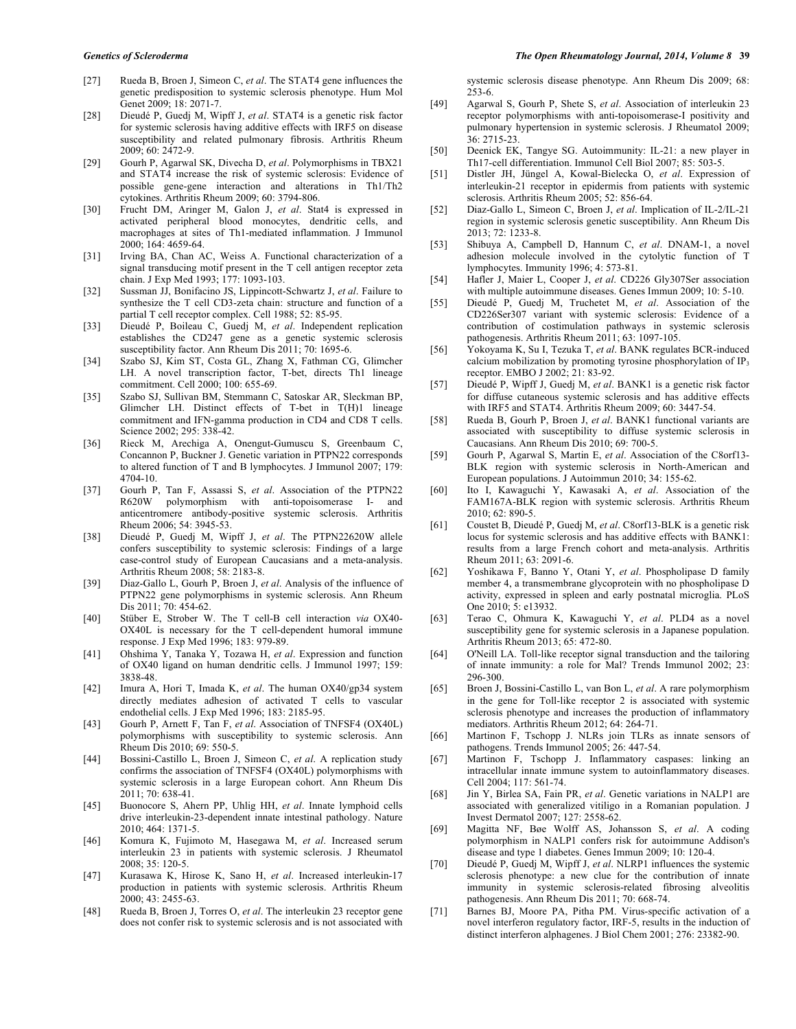- [27] Rueda B, Broen J, Simeon C, *et al*. The STAT4 gene influences the genetic predisposition to systemic sclerosis phenotype. Hum Mol Genet 2009: 18: 2071-7.
- [28] Dieudé P, Guedj M, Wipff J, *et al*. STAT4 is a genetic risk factor for systemic sclerosis having additive effects with IRF5 on disease susceptibility and related pulmonary fibrosis. Arthritis Rheum 2009; 60: 2472-9.
- [29] Gourh P, Agarwal SK, Divecha D, *et al*. Polymorphisms in TBX21 and STAT4 increase the risk of systemic sclerosis: Evidence of possible gene-gene interaction and alterations in Th1/Th2 cytokines. Arthritis Rheum 2009; 60: 3794-806.
- [30] Frucht DM, Aringer M, Galon J, *et al*. Stat4 is expressed in activated peripheral blood monocytes, dendritic cells, and macrophages at sites of Th1-mediated inflammation. J Immunol 2000; 164: 4659-64.
- [31] Irving BA, Chan AC, Weiss A. Functional characterization of a signal transducing motif present in the T cell antigen receptor zeta chain. J Exp Med 1993; 177: 1093-103.
- [32] Sussman JJ, Bonifacino JS, Lippincott-Schwartz J, *et al*. Failure to synthesize the T cell CD3-zeta chain: structure and function of a partial T cell receptor complex. Cell 1988; 52: 85-95.
- [33] Dieudé P, Boileau C, Guedj M, *et al*. Independent replication establishes the CD247 gene as a genetic systemic sclerosis susceptibility factor. Ann Rheum Dis 2011; 70: 1695-6.
- [34] Szabo SJ, Kim ST, Costa GL, Zhang X, Fathman CG, Glimcher LH. A novel transcription factor, T-bet, directs Th1 lineage commitment. Cell 2000; 100: 655-69.
- [35] Szabo SJ, Sullivan BM, Stemmann C, Satoskar AR, Sleckman BP, Glimcher LH. Distinct effects of T-bet in T(H)1 lineage commitment and IFN-gamma production in CD4 and CD8 T cells. Science 2002; 295: 338-42.
- [36] Rieck M, Arechiga A, Onengut-Gumuscu S, Greenbaum C, Concannon P, Buckner J. Genetic variation in PTPN22 corresponds to altered function of T and B lymphocytes. J Immunol 2007; 179: 4704-10.
- [37] Gourh P, Tan F, Assassi S, *et al*. Association of the PTPN22 R620W polymorphism with anti-topoisomerase I- and anticentromere antibody-positive systemic sclerosis. Arthritis Rheum 2006; 54: 3945-53.
- [38] Dieudé P, Guedj M, Wipff J, *et al*. The PTPN22620W allele confers susceptibility to systemic sclerosis: Findings of a large case-control study of European Caucasians and a meta-analysis. Arthritis Rheum 2008; 58: 2183-8.
- [39] Diaz-Gallo L, Gourh P, Broen J, *et al*. Analysis of the influence of PTPN22 gene polymorphisms in systemic sclerosis. Ann Rheum Dis 2011; 70: 454-62.
- [40] Stüber E, Strober W. The T cell-B cell interaction *via* OX40- OX40L is necessary for the T cell-dependent humoral immune response. J Exp Med 1996; 183: 979-89.
- [41] Ohshima Y, Tanaka Y, Tozawa H, *et al*. Expression and function of OX40 ligand on human dendritic cells. J Immunol 1997; 159: 3838-48.
- [42] Imura A, Hori T, Imada K, *et al*. The human OX40/gp34 system directly mediates adhesion of activated T cells to vascular endothelial cells. J Exp Med 1996; 183: 2185-95.
- [43] Gourh P, Arnett F, Tan F, *et al*. Association of TNFSF4 (OX40L) polymorphisms with susceptibility to systemic sclerosis. Ann Rheum Dis 2010; 69: 550-5.
- [44] Bossini-Castillo L, Broen J, Simeon C, *et al*. A replication study confirms the association of TNFSF4 (OX40L) polymorphisms with systemic sclerosis in a large European cohort. Ann Rheum Dis 2011; 70: 638-41.
- [45] Buonocore S, Ahern PP, Uhlig HH, *et al*. Innate lymphoid cells drive interleukin-23-dependent innate intestinal pathology. Nature 2010; 464: 1371-5.
- [46] Komura K, Fujimoto M, Hasegawa M, *et al*. Increased serum interleukin 23 in patients with systemic sclerosis. J Rheumatol 2008; 35: 120-5.
- [47] Kurasawa K, Hirose K, Sano H, *et al*. Increased interleukin-17 production in patients with systemic sclerosis. Arthritis Rheum 2000; 43: 2455-63.
- [48] Rueda B, Broen J, Torres O, *et al*. The interleukin 23 receptor gene does not confer risk to systemic sclerosis and is not associated with

systemic sclerosis disease phenotype. Ann Rheum Dis 2009; 68: 253-6.

- [49] Agarwal S, Gourh P, Shete S, *et al*. Association of interleukin 23 receptor polymorphisms with anti-topoisomerase-I positivity and pulmonary hypertension in systemic sclerosis. J Rheumatol 2009; 36: 2715-23.
- [50] Deenick EK, Tangye SG. Autoimmunity: IL-21: a new player in Th17-cell differentiation. Immunol Cell Biol 2007; 85: 503-5.
- [51] Distler JH, Jüngel A, Kowal-Bielecka O, *et al*. Expression of interleukin-21 receptor in epidermis from patients with systemic sclerosis. Arthritis Rheum 2005; 52: 856-64.
- [52] Diaz-Gallo L, Simeon C, Broen J, *et al*. Implication of IL-2/IL-21 region in systemic sclerosis genetic susceptibility. Ann Rheum Dis 2013; 72: 1233-8.
- [53] Shibuya A, Campbell D, Hannum C, *et al*. DNAM-1, a novel adhesion molecule involved in the cytolytic function of T lymphocytes. Immunity 1996; 4: 573-81.
- [54] Hafler J, Maier L, Cooper J, *et al*. CD226 Gly307Ser association with multiple autoimmune diseases. Genes Immun 2009; 10: 5-10.
- [55] Dieudé P, Guedj M, Truchetet M, *et al*. Association of the CD226Ser307 variant with systemic sclerosis: Evidence of a contribution of costimulation pathways in systemic sclerosis pathogenesis. Arthritis Rheum 2011; 63: 1097-105.
- [56] Yokoyama K, Su I, Tezuka T, *et al*. BANK regulates BCR-induced calcium mobilization by promoting tyrosine phosphorylation of IP<sub>3</sub> receptor. EMBO J 2002; 21: 83-92.
- [57] Dieudé P, Wipff J, Guedj M, *et al*. BANK1 is a genetic risk factor for diffuse cutaneous systemic sclerosis and has additive effects with IRF5 and STAT4. Arthritis Rheum 2009; 60: 3447-54.
- [58] Rueda B, Gourh P, Broen J, *et al*. BANK1 functional variants are associated with susceptibility to diffuse systemic sclerosis in Caucasians. Ann Rheum Dis 2010; 69: 700-5.
- [59] Gourh P, Agarwal S, Martin E, *et al*. Association of the C8orf13- BLK region with systemic sclerosis in North-American and European populations. J Autoimmun 2010; 34: 155-62.
- [60] Ito I, Kawaguchi Y, Kawasaki A, *et al*. Association of the FAM167A-BLK region with systemic sclerosis. Arthritis Rheum 2010; 62: 890-5.
- [61] Coustet B, Dieudé P, Guedj M, *et al*. C8orf13-BLK is a genetic risk locus for systemic sclerosis and has additive effects with BANK1: results from a large French cohort and meta-analysis. Arthritis Rheum 2011; 63: 2091-6.
- [62] Yoshikawa F, Banno Y, Otani Y, *et al*. Phospholipase D family member 4, a transmembrane glycoprotein with no phospholipase D activity, expressed in spleen and early postnatal microglia. PLoS One 2010; 5: e13932.
- [63] Terao C, Ohmura K, Kawaguchi Y, *et al*. PLD4 as a novel susceptibility gene for systemic sclerosis in a Japanese population. Arthritis Rheum 2013; 65: 472-80.
- [64] O'Neill LA. Toll-like receptor signal transduction and the tailoring of innate immunity: a role for Mal? Trends Immunol 2002; 23: 296-300.
- [65] Broen J, Bossini-Castillo L, van Bon L, *et al*. A rare polymorphism in the gene for Toll-like receptor 2 is associated with systemic sclerosis phenotype and increases the production of inflammatory mediators. Arthritis Rheum 2012; 64: 264-71.
- [66] Martinon F, Tschopp J. NLRs join TLRs as innate sensors of pathogens. Trends Immunol 2005; 26: 447-54.
- [67] Martinon F, Tschopp J. Inflammatory caspases: linking an intracellular innate immune system to autoinflammatory diseases. Cell 2004; 117: 561-74.
- [68] Jin Y, Birlea SA, Fain PR, *et al*. Genetic variations in NALP1 are associated with generalized vitiligo in a Romanian population. J Invest Dermatol 2007; 127: 2558-62.
- [69] Magitta NF, Bøe Wolff AS, Johansson S, *et al*. A coding polymorphism in NALP1 confers risk for autoimmune Addison's disease and type 1 diabetes. Genes Immun 2009; 10: 120-4.
- [70] Dieudé P, Guedj M, Wipff J, *et al*. NLRP1 influences the systemic sclerosis phenotype: a new clue for the contribution of innate immunity in systemic sclerosis-related fibrosing alveolitis pathogenesis. Ann Rheum Dis 2011; 70: 668-74.
- [71] Barnes BJ, Moore PA, Pitha PM. Virus-specific activation of a novel interferon regulatory factor, IRF-5, results in the induction of distinct interferon alphagenes. J Biol Chem 2001; 276: 23382-90.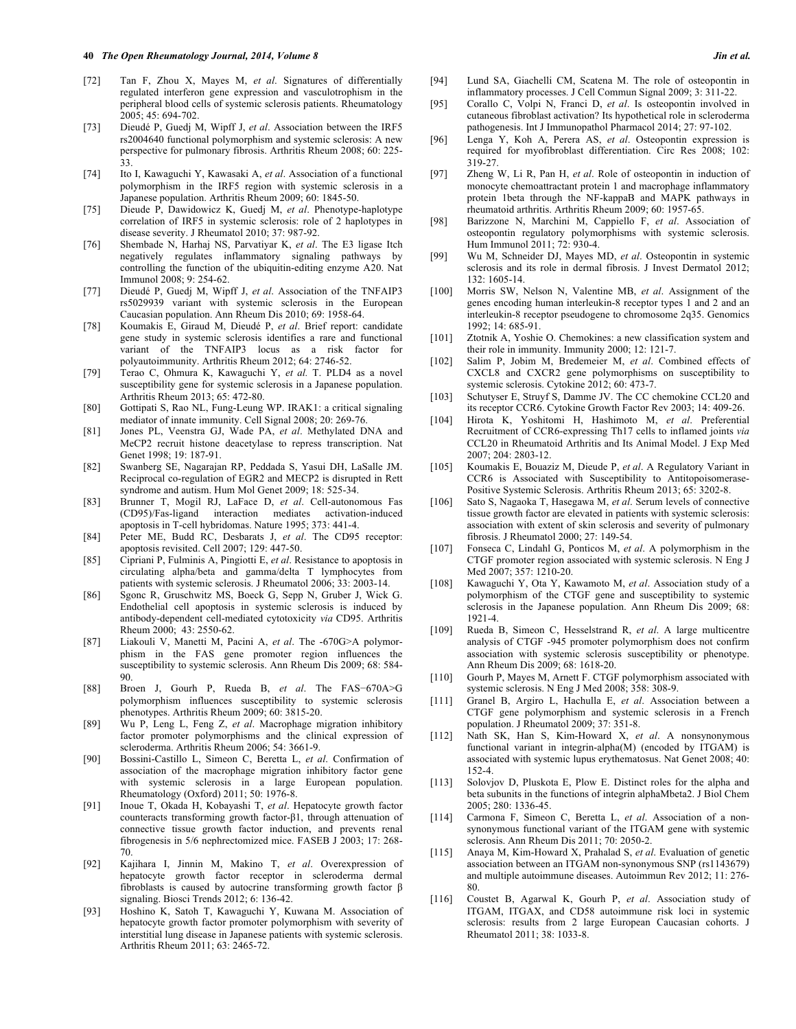- [72] Tan F, Zhou X, Mayes M, *et al*. Signatures of differentially regulated interferon gene expression and vasculotrophism in the peripheral blood cells of systemic sclerosis patients. Rheumatology 2005; 45: 694-702.
- [73] Dieudé P, Guedj M, Wipff J, *et al*. Association between the IRF5 rs2004640 functional polymorphism and systemic sclerosis: A new perspective for pulmonary fibrosis. Arthritis Rheum 2008; 60: 225- 33.
- [74] Ito I, Kawaguchi Y, Kawasaki A, *et al*. Association of a functional polymorphism in the IRF5 region with systemic sclerosis in a Japanese population. Arthritis Rheum 2009; 60: 1845-50.
- [75] Dieude P, Dawidowicz K, Guedj M, *et al*. Phenotype-haplotype correlation of IRF5 in systemic sclerosis: role of 2 haplotypes in disease severity. J Rheumatol 2010; 37: 987-92.
- [76] Shembade N, Harhaj NS, Parvatiyar K, *et al*. The E3 ligase Itch negatively regulates inflammatory signaling pathways by controlling the function of the ubiquitin-editing enzyme A20. Nat Immunol 2008; 9: 254-62.
- [77] Dieudé P, Guedj M, Wipff J, *et al*. Association of the TNFAIP3 rs5029939 variant with systemic sclerosis in the European Caucasian population. Ann Rheum Dis 2010; 69: 1958-64.
- [78] Koumakis E, Giraud M, Dieudé P, *et al*. Brief report: candidate gene study in systemic sclerosis identifies a rare and functional variant of the TNFAIP3 locus as a risk factor for polyautoimmunity. Arthritis Rheum 2012; 64: 2746-52.
- [79] Terao C, Ohmura K, Kawaguchi Y, *et al.* T. PLD4 as a novel susceptibility gene for systemic sclerosis in a Japanese population. Arthritis Rheum 2013; 65: 472-80.
- [80] Gottipati S, Rao NL, Fung-Leung WP. IRAK1: a critical signaling mediator of innate immunity. Cell Signal 2008; 20: 269-76.
- [81] Jones PL, Veenstra GJ, Wade PA, *et al*. Methylated DNA and MeCP2 recruit histone deacetylase to repress transcription. Nat Genet 1998; 19: 187-91.
- [82] Swanberg SE, Nagarajan RP, Peddada S, Yasui DH, LaSalle JM. Reciprocal co-regulation of EGR2 and MECP2 is disrupted in Rett syndrome and autism. Hum Mol Genet 2009; 18: 525-34.
- [83] Brunner T, Mogil RJ, LaFace D, *et al*. Cell-autonomous Fas (CD95)/Fas-ligand interaction mediates activation-induced apoptosis in T-cell hybridomas. Nature 1995; 373: 441-4.
- [84] Peter ME, Budd RC, Desbarats J, *et al*. The CD95 receptor: apoptosis revisited. Cell 2007; 129: 447-50.
- [85] Cipriani P, Fulminis A, Pingiotti E, *et al*. Resistance to apoptosis in circulating alpha/beta and gamma/delta T lymphocytes from patients with systemic sclerosis. J Rheumatol 2006; 33: 2003-14.
- [86] Sgonc R, Gruschwitz MS, Boeck G, Sepp N, Gruber J, Wick G. Endothelial cell apoptosis in systemic sclerosis is induced by antibody-dependent cell-mediated cytotoxicity *via* CD95. Arthritis Rheum 2000; 43: 2550-62.
- [87] Liakouli V, Manetti M, Pacini A, *et al*. The -670G>A polymorphism in the FAS gene promoter region influences the susceptibility to systemic sclerosis. Ann Rheum Dis 2009; 68: 584-  $90^{\circ}$
- [88] Broen J, Gourh P, Rueda B, *et al*. The FAS−670A>G polymorphism influences susceptibility to systemic sclerosis phenotypes. Arthritis Rheum 2009; 60: 3815-20.
- [89] Wu P, Leng L, Feng Z, *et al*. Macrophage migration inhibitory factor promoter polymorphisms and the clinical expression of scleroderma. Arthritis Rheum 2006; 54: 3661-9.
- [90] Bossini-Castillo L, Simeon C, Beretta L, *et al*. Confirmation of association of the macrophage migration inhibitory factor gene with systemic sclerosis in a large European population. Rheumatology (Oxford) 2011; 50: 1976-8.
- [91] Inoue T, Okada H, Kobayashi T, *et al*. Hepatocyte growth factor counteracts transforming growth factor-β1, through attenuation of connective tissue growth factor induction, and prevents renal fibrogenesis in 5/6 nephrectomized mice. FASEB J 2003; 17: 268- 70.
- [92] Kajihara I, Jinnin M, Makino T, *et al*. Overexpression of hepatocyte growth factor receptor in scleroderma dermal fibroblasts is caused by autocrine transforming growth factor β signaling. Biosci Trends 2012; 6: 136-42.
- [93] Hoshino K, Satoh T, Kawaguchi Y, Kuwana M. Association of hepatocyte growth factor promoter polymorphism with severity of interstitial lung disease in Japanese patients with systemic sclerosis. Arthritis Rheum 2011; 63: 2465-72.
- [94] Lund SA, Giachelli CM, Scatena M. The role of osteopontin in inflammatory processes. J Cell Commun Signal 2009; 3: 311-22.
- [95] Corallo C, Volpi N, Franci D, *et al*. Is osteopontin involved in cutaneous fibroblast activation? Its hypothetical role in scleroderma pathogenesis. Int J Immunopathol Pharmacol 2014; 27: 97-102.
- [96] Lenga Y, Koh A, Perera AS, *et al*. Osteopontin expression is required for myofibroblast differentiation. Circ Res 2008; 102: 319-27.
- [97] Zheng W, Li R, Pan H, *et al*. Role of osteopontin in induction of monocyte chemoattractant protein 1 and macrophage inflammatory protein 1beta through the NF-kappaB and MAPK pathways in rheumatoid arthritis. Arthritis Rheum 2009; 60: 1957-65.
- [98] Barizzone N, Marchini M, Cappiello F, *et al*. Association of osteopontin regulatory polymorphisms with systemic sclerosis. Hum Immunol 2011; 72: 930-4.
- [99] Wu M, Schneider DJ, Mayes MD, *et al*. Osteopontin in systemic sclerosis and its role in dermal fibrosis. J Invest Dermatol 2012; 132: 1605-14.
- [100] Morris SW, Nelson N, Valentine MB, *et al*. Assignment of the genes encoding human interleukin-8 receptor types 1 and 2 and an interleukin-8 receptor pseudogene to chromosome 2q35. Genomics 1992; 14: 685-91.
- [101] Ztotnik A, Yoshie O. Chemokines: a new classification system and their role in immunity. Immunity 2000; 12: 121-7.
- [102] Salim P, Jobim M, Bredemeier M, *et al*. Combined effects of CXCL8 and CXCR2 gene polymorphisms on susceptibility to systemic sclerosis. Cytokine 2012; 60: 473-7.
- [103] Schutyser E, Struyf S, Damme JV. The CC chemokine CCL20 and its receptor CCR6. Cytokine Growth Factor Rev 2003; 14: 409-26.
- [104] Hirota K, Yoshitomi H, Hashimoto M, *et al*. Preferential Recruitment of CCR6-expressing Th17 cells to inflamed joints *via*  CCL20 in Rheumatoid Arthritis and Its Animal Model. J Exp Med 2007; 204: 2803-12.
- [105] Koumakis E, Bouaziz M, Dieude P, *et al*. A Regulatory Variant in CCR6 is Associated with Susceptibility to Antitopoisomerase-Positive Systemic Sclerosis. Arthritis Rheum 2013; 65: 3202-8.
- [106] Sato S, Nagaoka T, Hasegawa M, *et al*. Serum levels of connective tissue growth factor are elevated in patients with systemic sclerosis: association with extent of skin sclerosis and severity of pulmonary fibrosis. J Rheumatol 2000; 27: 149-54.
- [107] Fonseca C, Lindahl G, Ponticos M, *et al*. A polymorphism in the CTGF promoter region associated with systemic sclerosis. N Eng J Med 2007; 357: 1210-20.
- [108] Kawaguchi Y, Ota Y, Kawamoto M, *et al*. Association study of a polymorphism of the CTGF gene and susceptibility to systemic sclerosis in the Japanese population. Ann Rheum Dis 2009; 68: 1921-4.
- [109] Rueda B, Simeon C, Hesselstrand R, *et al*. A large multicentre analysis of CTGF -945 promoter polymorphism does not confirm association with systemic sclerosis susceptibility or phenotype. Ann Rheum Dis 2009; 68: 1618-20.
- [110] Gourh P, Mayes M, Arnett F. CTGF polymorphism associated with systemic sclerosis. N Eng J Med 2008; 358: 308-9.
- [111] Granel B, Argiro L, Hachulla E, *et al*. Association between a CTGF gene polymorphism and systemic sclerosis in a French population. J Rheumatol 2009; 37: 351-8.
- [112] Nath SK, Han S, Kim-Howard X, *et al*. A nonsynonymous functional variant in integrin-alpha(M) (encoded by ITGAM) is associated with systemic lupus erythematosus. Nat Genet 2008; 40: 152-4.
- [113] Solovjov D, Pluskota E, Plow E. Distinct roles for the alpha and beta subunits in the functions of integrin alphaMbeta2. J Biol Chem 2005; 280: 1336-45.
- [114] Carmona F, Simeon C, Beretta L, *et al*. Association of a nonsynonymous functional variant of the ITGAM gene with systemic sclerosis. Ann Rheum Dis 2011; 70: 2050-2.
- [115] Anaya M, Kim-Howard X, Prahalad S, *et al*. Evaluation of genetic association between an ITGAM non-synonymous SNP (rs1143679) and multiple autoimmune diseases. Autoimmun Rev 2012; 11: 276- 80.
- [116] Coustet B, Agarwal K, Gourh P, *et al*. Association study of ITGAM, ITGAX, and CD58 autoimmune risk loci in systemic sclerosis: results from 2 large European Caucasian cohorts. J Rheumatol 2011; 38: 1033-8.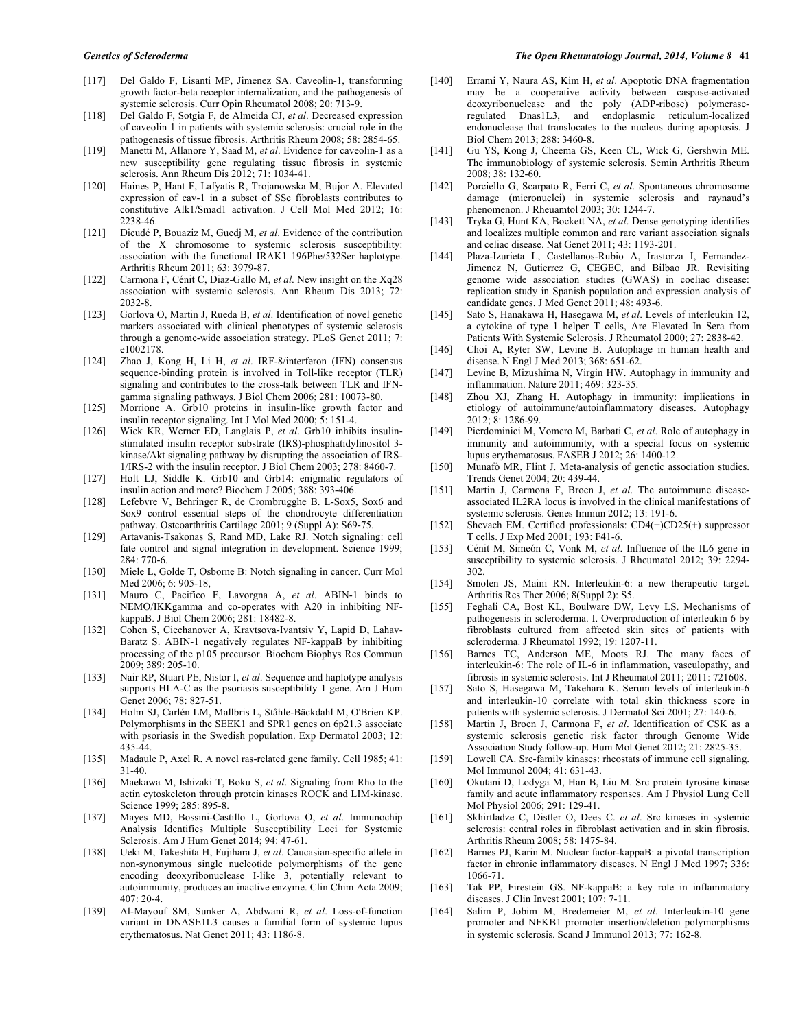- [117] Del Galdo F, Lisanti MP, Jimenez SA. Caveolin-1, transforming growth factor-beta receptor internalization, and the pathogenesis of systemic sclerosis. Curr Opin Rheumatol 2008; 20: 713-9.
- [118] Del Galdo F, Sotgia F, de Almeida CJ, *et al*. Decreased expression of caveolin 1 in patients with systemic sclerosis: crucial role in the pathogenesis of tissue fibrosis. Arthritis Rheum 2008; 58: 2854-65.
- [119] Manetti M, Allanore Y, Saad M, *et al*. Evidence for caveolin-1 as a new susceptibility gene regulating tissue fibrosis in systemic sclerosis. Ann Rheum Dis 2012; 71: 1034-41.
- [120] Haines P, Hant F, Lafyatis R, Trojanowska M, Bujor A. Elevated expression of cav-1 in a subset of SSc fibroblasts contributes to constitutive Alk1/Smad1 activation. J Cell Mol Med 2012; 16: 2238-46.
- [121] Dieudé P, Bouaziz M, Guedj M, *et al*. Evidence of the contribution of the X chromosome to systemic sclerosis susceptibility: association with the functional IRAK1 196Phe/532Ser haplotype. Arthritis Rheum 2011; 63: 3979-87.
- [122] Carmona F, Cénit C, Diaz-Gallo M, *et al*. New insight on the Xq28 association with systemic sclerosis. Ann Rheum Dis 2013; 72: 2032-8.
- [123] Gorlova O, Martin J, Rueda B, *et al*. Identification of novel genetic markers associated with clinical phenotypes of systemic sclerosis through a genome-wide association strategy. PLoS Genet 2011; 7: e1002178.
- [124] Zhao J, Kong H, Li H, *et al*. IRF-8/interferon (IFN) consensus sequence-binding protein is involved in Toll-like receptor (TLR) signaling and contributes to the cross-talk between TLR and IFNgamma signaling pathways. J Biol Chem 2006; 281: 10073-80.
- [125] Morrione A. Grb10 proteins in insulin-like growth factor and insulin receptor signaling. Int J Mol Med 2000; 5: 151-4.
- [126] Wick KR, Werner ED, Langlais P, *et al*. Grb10 inhibits insulinstimulated insulin receptor substrate (IRS)-phosphatidylinositol 3 kinase/Akt signaling pathway by disrupting the association of IRS-1/IRS-2 with the insulin receptor. J Biol Chem 2003; 278: 8460-7.
- [127] Holt LJ, Siddle K. Grb10 and Grb14: enigmatic regulators of insulin action and more? Biochem J 2005; 388: 393-406.
- [128] Lefebvre V, Behringer R, de Crombrugghe B. L-Sox5, Sox6 and Sox9 control essential steps of the chondrocyte differentiation pathway. Osteoarthritis Cartilage 2001; 9 (Suppl A): S69-75.
- [129] Artavanis-Tsakonas S, Rand MD, Lake RJ. Notch signaling: cell fate control and signal integration in development. Science 1999; 284: 770-6.
- [130] Miele L, Golde T, Osborne B: Notch signaling in cancer. Curr Mol Med 2006; 6: 905-18,
- [131] Mauro C, Pacifico F, Lavorgna A, *et al*. ABIN-1 binds to NEMO/IKKgamma and co-operates with A20 in inhibiting NFkappaB. J Biol Chem 2006; 281: 18482-8.
- [132] Cohen S, Ciechanover A, Kravtsova-Ivantsiv Y, Lapid D, Lahav-Baratz S. ABIN-1 negatively regulates NF-kappaB by inhibiting processing of the p105 precursor. Biochem Biophys Res Commun 2009; 389: 205-10.
- [133] Nair RP, Stuart PE, Nistor I, *et al*. Sequence and haplotype analysis supports HLA-C as the psoriasis susceptibility 1 gene. Am J Hum Genet 2006; 78: 827-51.
- [134] Holm SJ, Carlén LM, Mallbris L, Ståhle-Bäckdahl M, O'Brien KP. Polymorphisms in the SEEK1 and SPR1 genes on 6p21.3 associate with psoriasis in the Swedish population. Exp Dermatol 2003; 12: 435-44.
- [135] Madaule P, Axel R. A novel ras-related gene family. Cell 1985; 41: 31-40.
- [136] Maekawa M, Ishizaki T, Boku S, *et al*. Signaling from Rho to the actin cytoskeleton through protein kinases ROCK and LIM-kinase. Science 1999; 285: 895-8.
- [137] Mayes MD, Bossini-Castillo L, Gorlova O, *et al*. Immunochip Analysis Identifies Multiple Susceptibility Loci for Systemic Sclerosis. Am J Hum Genet 2014; 94: 47-61.
- [138] Ueki M, Takeshita H, Fujihara J, *et al*. Caucasian-specific allele in non-synonymous single nucleotide polymorphisms of the gene encoding deoxyribonuclease I-like 3, potentially relevant to autoimmunity, produces an inactive enzyme. Clin Chim Acta 2009; 407: 20-4.
- [139] Al-Mayouf SM, Sunker A, Abdwani R, *et al*. Loss-of-function variant in DNASE1L3 causes a familial form of systemic lupus erythematosus. Nat Genet 2011; 43: 1186-8.
- [140] Errami Y, Naura AS, Kim H, *et al*. Apoptotic DNA fragmentation may be a cooperative activity between caspase-activated deoxyribonuclease and the poly (ADP-ribose) polymeraseregulated Dnas1L3, and endoplasmic reticulum-localized endonuclease that translocates to the nucleus during apoptosis. J Biol Chem 2013; 288: 3460-8.
- [141] Gu YS, Kong J, Cheema GS, Keen CL, Wick G, Gershwin ME. The immunobiology of systemic sclerosis. Semin Arthritis Rheum 2008; 38: 132-60.
- [142] Porciello G, Scarpato R, Ferri C, *et al*. Spontaneous chromosome damage (micronuclei) in systemic sclerosis and raynaud's phenomenon. J Rheuamtol 2003; 30: 1244-7.
- [143] Tryka G, Hunt KA, Bockett NA, *et al*. Dense genotyping identifies and localizes multiple common and rare variant association signals and celiac disease. Nat Genet 2011; 43: 1193-201.
- [144] Plaza-Izurieta L, Castellanos-Rubio A, Irastorza I, Fernandez-Jimenez N, Gutierrez G, CEGEC, and Bilbao JR. Revisiting genome wide association studies (GWAS) in coeliac disease: replication study in Spanish population and expression analysis of candidate genes. J Med Genet 2011; 48: 493-6.
- [145] Sato S, Hanakawa H, Hasegawa M, *et al*. Levels of interleukin 12, a cytokine of type 1 helper T cells, Are Elevated In Sera from Patients With Systemic Sclerosis. J Rheumatol 2000; 27: 2838-42.
- [146] Choi A, Ryter SW, Levine B. Autophage in human health and disease. N Engl J Med 2013; 368: 651-62.
- [147] Levine B, Mizushima N, Virgin HW. Autophagy in immunity and inflammation. Nature 2011; 469: 323-35.
- [148] Zhou XJ, Zhang H. Autophagy in immunity: implications in etiology of autoimmune/autoinflammatory diseases. Autophagy 2012; 8: 1286-99.
- [149] Pierdominici M, Vomero M, Barbati C, *et al*. Role of autophagy in immunity and autoimmunity, with a special focus on systemic lupus erythematosus. FASEB J 2012; 26: 1400-12.
- [150] Munafò MR, Flint J. Meta-analysis of genetic association studies. Trends Genet 2004; 20: 439-44.
- [151] Martin J, Carmona F, Broen J, *et al*. The autoimmune diseaseassociated IL2RA locus is involved in the clinical manifestations of systemic sclerosis. Genes Immun 2012; 13: 191-6.
- [152] Shevach EM. Certified professionals: CD4(+)CD25(+) suppressor T cells. J Exp Med 2001; 193: F41-6.
- [153] Cénit M, Simeón C, Vonk M, *et al*. Influence of the IL6 gene in susceptibility to systemic sclerosis. J Rheumatol 2012; 39: 2294- 302.
- [154] Smolen JS, Maini RN. Interleukin-6: a new therapeutic target. Arthritis Res Ther 2006; 8(Suppl 2): S5.
- [155] Feghali CA, Bost KL, Boulware DW, Levy LS. Mechanisms of pathogenesis in scleroderma. I. Overproduction of interleukin 6 by fibroblasts cultured from affected skin sites of patients with scleroderma. J Rheumatol 1992; 19: 1207-11.
- [156] Barnes TC, Anderson ME, Moots RJ. The many faces of interleukin-6: The role of IL-6 in inflammation, vasculopathy, and fibrosis in systemic sclerosis. Int J Rheumatol 2011; 2011: 721608.
- [157] Sato S, Hasegawa M, Takehara K. Serum levels of interleukin-6 and interleukin-10 correlate with total skin thickness score in patients with systemic sclerosis. J Dermatol Sci 2001; 27: 140-6.
- [158] Martin J, Broen J, Carmona F, *et al*. Identification of CSK as a systemic sclerosis genetic risk factor through Genome Wide Association Study follow-up. Hum Mol Genet 2012; 21: 2825-35.
- [159] Lowell CA. Src-family kinases: rheostats of immune cell signaling. Mol Immunol 2004; 41: 631-43.
- [160] Okutani D, Lodyga M, Han B, Liu M. Src protein tyrosine kinase family and acute inflammatory responses. Am J Physiol Lung Cell Mol Physiol 2006; 291: 129-41.
- [161] Skhirtladze C, Distler O, Dees C. *et al*. Src kinases in systemic sclerosis: central roles in fibroblast activation and in skin fibrosis. Arthritis Rheum 2008; 58: 1475-84.
- [162] Barnes PJ, Karin M. Nuclear factor-kappaB: a pivotal transcription factor in chronic inflammatory diseases. N Engl J Med 1997; 336: 1066-71.
- [163] Tak PP, Firestein GS. NF-kappaB: a key role in inflammatory diseases. J Clin Invest 2001; 107: 7-11.
- [164] Salim P, Jobim M, Bredemeier M, *et al*. Interleukin-10 gene promoter and NFKB1 promoter insertion/deletion polymorphisms in systemic sclerosis. Scand J Immunol 2013; 77: 162-8.